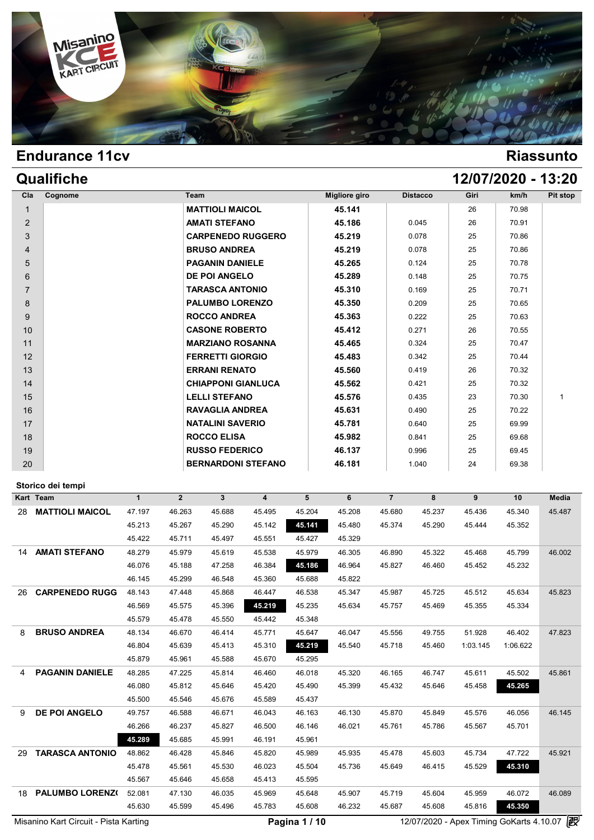

| Qualifiche                |                   |                |                           |                           |            |               |                |                 | 12/07/2020 - 13:20 |        |              |
|---------------------------|-------------------|----------------|---------------------------|---------------------------|------------|---------------|----------------|-----------------|--------------------|--------|--------------|
| Cognome<br>Cla            |                   | Team           |                           |                           |            | Migliore giro |                | <b>Distacco</b> | Giri               | km/h   | Pit stop     |
| $\mathbf{1}$              |                   |                | <b>MATTIOLI MAICOL</b>    |                           |            | 45.141        |                |                 | 26                 | 70.98  |              |
| $\overline{2}$            |                   |                | <b>AMATI STEFANO</b>      |                           |            | 45.186        |                | 0.045           | 26                 | 70.91  |              |
| 3                         |                   |                |                           | <b>CARPENEDO RUGGERO</b>  |            | 45.219        |                | 0.078           | 25                 | 70.86  |              |
| 4                         |                   |                | <b>BRUSO ANDREA</b>       |                           |            | 45.219        |                | 0.078           | 25                 | 70.86  |              |
| 5                         |                   |                | <b>PAGANIN DANIELE</b>    |                           |            | 45.265        |                | 0.124           | 25                 | 70.78  |              |
| 6                         |                   |                | <b>DE POI ANGELO</b>      |                           |            | 45.289        |                | 0.148           | 25                 | 70.75  |              |
| $\overline{7}$            |                   |                | <b>TARASCA ANTONIO</b>    |                           |            | 45.310        |                | 0.169           | 25                 | 70.71  |              |
| 8                         |                   |                | <b>PALUMBO LORENZO</b>    |                           |            | 45.350        |                | 0.209           | 25                 | 70.65  |              |
| 9                         |                   |                | <b>ROCCO ANDREA</b>       |                           |            | 45.363        |                | 0.222           | 25                 | 70.63  |              |
| 10                        |                   |                | <b>CASONE ROBERTO</b>     |                           |            | 45.412        |                | 0.271           | 26                 | 70.55  |              |
| 11                        |                   |                | <b>MARZIANO ROSANNA</b>   |                           |            | 45.465        |                | 0.324           | 25                 | 70.47  |              |
| 12                        |                   |                | <b>FERRETTI GIORGIO</b>   |                           |            | 45.483        |                | 0.342           | 25                 | 70.44  |              |
| 13                        |                   |                | <b>ERRANI RENATO</b>      |                           |            | 45.560        |                | 0.419           | 26                 | 70.32  |              |
| 14                        |                   |                | <b>CHIAPPONI GIANLUCA</b> |                           |            | 45.562        |                | 0.421           | 25                 | 70.32  |              |
| 15                        |                   |                | <b>LELLI STEFANO</b>      |                           |            | 45.576        |                | 0.435           | 23                 | 70.30  | 1            |
| 16                        |                   |                | <b>RAVAGLIA ANDREA</b>    |                           |            | 45.631        |                | 0.490           | 25                 | 70.22  |              |
| 17                        |                   |                | <b>NATALINI SAVERIO</b>   |                           |            | 45.781        |                | 0.640           | 25                 | 69.99  |              |
| 18                        |                   |                | <b>ROCCO ELISA</b>        |                           |            | 45.982        |                | 0.841           | 25                 | 69.68  |              |
| 19                        |                   |                | <b>RUSSO FEDERICO</b>     |                           |            | 46.137        |                | 0.996           | 25                 | 69.45  |              |
| 20                        |                   |                |                           | <b>BERNARDONI STEFANO</b> |            | 46.181        |                | 1.040           | 24                 | 69.38  |              |
| Storico dei tempi         |                   |                |                           |                           |            |               |                |                 |                    |        |              |
| Kart Team                 | $\mathbf{1}$      | $\overline{2}$ | 3 <sup>1</sup>            | $\overline{4}$            | 5          | 6             | $\overline{7}$ | 8               | 9                  | 10     | <b>Media</b> |
| <b>28 MATTIOLI MAICOL</b> | 47.197            | 46.263         | 45.688                    | 45.495                    | 45.204     | 45.208        | 45.680         | 45.237          | 45.436             | 45.340 | 45.487       |
|                           | 45.213            | 45.267         | 45.290                    | 45.142                    | 45.141     | 45.480        | 45.374         | 45.290          | 45.444             | 45.352 |              |
|                           | $AE$ $A$ $\Omega$ | $AE$ 744       | $AE$ $AO7$                | $AE$ $EFA$                | $AE$ $AO7$ | $AB$ 220      |                |                 |                    |        |              |

|    | Kart Team                             | $\mathbf{1}$ | $\mathbf{2}$ | 3      | 4      | 5             | 6      | $\overline{7}$ | 8      | 9        | 10                                       | Media  |
|----|---------------------------------------|--------------|--------------|--------|--------|---------------|--------|----------------|--------|----------|------------------------------------------|--------|
| 28 | <b>MATTIOLI MAICOL</b>                | 47.197       | 46.263       | 45.688 | 45.495 | 45.204        | 45.208 | 45.680         | 45.237 | 45.436   | 45.340                                   | 45.487 |
|    |                                       | 45.213       | 45.267       | 45.290 | 45.142 | 45.141        | 45.480 | 45.374         | 45.290 | 45.444   | 45.352                                   |        |
|    |                                       | 45.422       | 45.711       | 45.497 | 45.551 | 45.427        | 45.329 |                |        |          |                                          |        |
| 14 | <b>AMATI STEFANO</b>                  | 48.279       | 45.979       | 45.619 | 45.538 | 45.979        | 46.305 | 46.890         | 45.322 | 45.468   | 45.799                                   | 46.002 |
|    |                                       | 46.076       | 45.188       | 47.258 | 46.384 | 45.186        | 46.964 | 45.827         | 46.460 | 45.452   | 45.232                                   |        |
|    |                                       | 46.145       | 45.299       | 46.548 | 45.360 | 45.688        | 45.822 |                |        |          |                                          |        |
| 26 | <b>CARPENEDO RUGG</b>                 | 48.143       | 47.448       | 45.868 | 46.447 | 46.538        | 45.347 | 45.987         | 45.725 | 45.512   | 45.634                                   | 45.823 |
|    |                                       | 46.569       | 45.575       | 45.396 | 45.219 | 45.235        | 45.634 | 45.757         | 45.469 | 45.355   | 45.334                                   |        |
|    |                                       | 45.579       | 45.478       | 45.550 | 45.442 | 45.348        |        |                |        |          |                                          |        |
| 8  | <b>BRUSO ANDREA</b>                   | 48.134       | 46.670       | 46.414 | 45.771 | 45.647        | 46.047 | 45.556         | 49.755 | 51.928   | 46.402                                   | 47.823 |
|    |                                       | 46.804       | 45.639       | 45.413 | 45.310 | 45.219        | 45.540 | 45.718         | 45.460 | 1:03.145 | 1:06.622                                 |        |
|    |                                       | 45.879       | 45.961       | 45.588 | 45.670 | 45.295        |        |                |        |          |                                          |        |
| 4  | <b>PAGANIN DANIELE</b>                | 48.285       | 47.225       | 45.814 | 46.460 | 46.018        | 45.320 | 46.165         | 46.747 | 45.611   | 45.502                                   | 45.861 |
|    |                                       | 46.080       | 45.812       | 45.646 | 45.420 | 45.490        | 45.399 | 45.432         | 45.646 | 45.458   | 45.265                                   |        |
|    |                                       | 45.500       | 45.546       | 45.676 | 45.589 | 45.437        |        |                |        |          |                                          |        |
| 9  | <b>DE POI ANGELO</b>                  | 49.757       | 46.588       | 46.671 | 46.043 | 46.163        | 46.130 | 45.870         | 45.849 | 45.576   | 46.056                                   | 46.145 |
|    |                                       | 46.266       | 46.237       | 45.827 | 46.500 | 46.146        | 46.021 | 45.761         | 45.786 | 45.567   | 45.701                                   |        |
|    |                                       | 45.289       | 45.685       | 45.991 | 46.191 | 45.961        |        |                |        |          |                                          |        |
| 29 | <b>TARASCA ANTONIO</b>                | 48.862       | 46.428       | 45.846 | 45.820 | 45.989        | 45.935 | 45.478         | 45.603 | 45.734   | 47.722                                   | 45.921 |
|    |                                       | 45.478       | 45.561       | 45.530 | 46.023 | 45.504        | 45.736 | 45.649         | 46.415 | 45.529   | 45.310                                   |        |
|    |                                       | 45.567       | 45.646       | 45.658 | 45.413 | 45.595        |        |                |        |          |                                          |        |
| 18 | PALUMBO LORENZ(                       | 52.081       | 47.130       | 46.035 | 45.969 | 45.648        | 45.907 | 45.719         | 45.604 | 45.959   | 46.072                                   | 46.089 |
|    |                                       | 45.630       | 45.599       | 45.496 | 45.783 | 45.608        | 46.232 | 45.687         | 45.608 | 45.816   | 45.350                                   |        |
|    | Misanino Kart Circuit - Pista Karting |              |              |        |        | Pagina 1 / 10 |        |                |        |          | 12/07/2020 - Apex Timing GoKarts 4.10.07 | 毆      |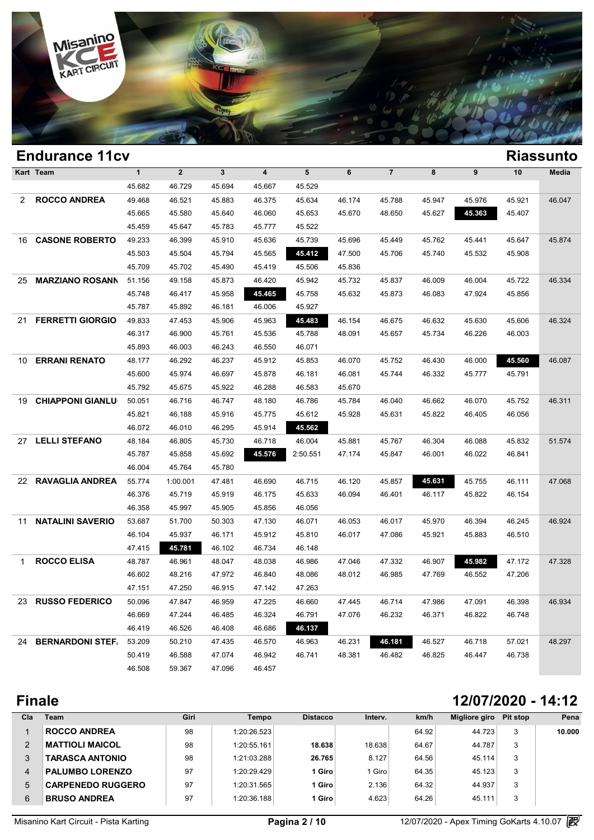

|     | <b>Endurance 11cv</b>   |              |              |        |                         |          |        |                |        |        |        | <b>Riassunto</b> |
|-----|-------------------------|--------------|--------------|--------|-------------------------|----------|--------|----------------|--------|--------|--------|------------------|
|     | Kart Team               | $\mathbf{1}$ | $\mathbf{2}$ | 3      | $\overline{\mathbf{4}}$ | 5        | 6      | $\overline{7}$ | 8      | 9      | 10     | Media            |
|     |                         | 45.682       | 46.729       | 45.694 | 45.667                  | 45.529   |        |                |        |        |        |                  |
| 2   | <b>ROCCO ANDREA</b>     | 49.468       | 46.521       | 45.883 | 46.375                  | 45.634   | 46.174 | 45.788         | 45.947 | 45.976 | 45.921 | 46.047           |
|     |                         | 45.665       | 45.580       | 45.640 | 46.060                  | 45.653   | 45.670 | 48.650         | 45.627 | 45.363 | 45.407 |                  |
|     |                         | 45.459       | 45.647       | 45.783 | 45.777                  | 45.522   |        |                |        |        |        |                  |
| 16. | <b>CASONE ROBERTO</b>   | 49.233       | 46.399       | 45.910 | 45.636                  | 45.739   | 45.696 | 45.449         | 45.762 | 45.441 | 45.647 | 45.874           |
|     |                         | 45.503       | 45.504       | 45.794 | 45.565                  | 45.412   | 47.500 | 45.706         | 45.740 | 45.532 | 45.908 |                  |
|     |                         | 45.709       | 45.702       | 45.490 | 45.419                  | 45.506   | 45.836 |                |        |        |        |                  |
| 25  | <b>MARZIANO ROSANN</b>  | 51.156       | 49.158       | 45.873 | 46.420                  | 45.942   | 45.732 | 45.837         | 46.009 | 46.004 | 45.722 | 46.334           |
|     |                         | 45.748       | 46.417       | 45.958 | 45.465                  | 45.758   | 45.632 | 45.873         | 46.083 | 47.924 | 45.856 |                  |
|     |                         | 45.787       | 45.892       | 46.181 | 46.006                  | 45.927   |        |                |        |        |        |                  |
| 21  | <b>FERRETTI GIORGIO</b> | 49.833       | 47.453       | 45.906 | 45.963                  | 45.483   | 46.154 | 46.675         | 46.632 | 45.630 | 45.606 | 46.324           |
|     |                         | 46.317       | 46.900       | 45.761 | 45.536                  | 45.788   | 48.091 | 45.657         | 45.734 | 46.226 | 46.003 |                  |
|     |                         | 45.893       | 46.003       | 46.243 | 46.550                  | 46.071   |        |                |        |        |        |                  |
| 10  | <b>ERRANI RENATO</b>    | 48.177       | 46.292       | 46.237 | 45.912                  | 45.853   | 46.070 | 45.752         | 46.430 | 46.000 | 45.560 | 46.087           |
|     |                         | 45.600       | 45.974       | 46.697 | 45.878                  | 46.181   | 46.081 | 45.744         | 46.332 | 45.777 | 45.791 |                  |
|     |                         | 45.792       | 45.675       | 45.922 | 46.288                  | 46.583   | 45.670 |                |        |        |        |                  |
| 19  | <b>CHIAPPONI GIANLU</b> | 50.051       | 46.716       | 46.747 | 48.180                  | 46.786   | 45.784 | 46.040         | 46.662 | 46.070 | 45.752 | 46.311           |
|     |                         | 45.821       | 46.188       | 45.916 | 45.775                  | 45.612   | 45.928 | 45.631         | 45.822 | 46.405 | 46.056 |                  |
|     |                         | 46.072       | 46.010       | 46.295 | 45.914                  | 45.562   |        |                |        |        |        |                  |
| 27  | <b>LELLI STEFANO</b>    | 48.184       | 46.805       | 45.730 | 46.718                  | 46.004   | 45.881 | 45.767         | 46.304 | 46.088 | 45.832 | 51.574           |
|     |                         | 45.787       | 45.858       | 45.692 | 45.576                  | 2:50.551 | 47.174 | 45.847         | 46.001 | 46.022 | 46.841 |                  |
|     |                         | 46.004       | 45.764       | 45.780 |                         |          |        |                |        |        |        |                  |
| 22  | <b>RAVAGLIA ANDREA</b>  | 55.774       | 1:00.001     | 47.481 | 46.690                  | 46.715   | 46.120 | 45.857         | 45.631 | 45.755 | 46.111 | 47.068           |
|     |                         | 46.376       | 45.719       | 45.919 | 46.175                  | 45.633   | 46.094 | 46.401         | 46.117 | 45.822 | 46.154 |                  |
|     |                         | 46.358       | 45.997       | 45.905 | 45.856                  | 46.056   |        |                |        |        |        |                  |
| 11  | <b>NATALINI SAVERIO</b> | 53.687       | 51.700       | 50.303 | 47.130                  | 46.071   | 46.053 | 46.017         | 45.970 | 46.394 | 46.245 | 46.924           |
|     |                         | 46.104       | 45.937       | 46.171 | 45.912                  | 45.810   | 46.017 | 47.086         | 45.921 | 45.883 | 46.510 |                  |
|     |                         | 47.415       | 45.781       | 46.102 | 46.734                  | 46.148   |        |                |        |        |        |                  |
| 1   | <b>ROCCO ELISA</b>      | 48.787       | 46.961       | 48.047 | 48.038                  | 46.986   | 47.046 | 47.332         | 46.907 | 45.982 | 47.172 | 47.328           |
|     |                         | 46.602       | 48.216       | 47.972 | 46.840                  | 48.086   | 48.012 | 46.985         | 47.769 | 46.552 | 47.206 |                  |
|     |                         | 47.151       | 47.250       | 46.915 | 47.142                  | 47.263   |        |                |        |        |        |                  |
|     | 23 RUSSO FEDERICO       | 50.096       | 47.847       | 46.959 | 47.225                  | 46.660   | 47.445 | 46.714         | 47.986 | 47.091 | 46.398 | 46.934           |
|     |                         | 46.669       | 47.244       | 46.485 | 46.324                  | 46.791   | 47.076 | 46.232         | 46.371 | 46.822 | 46.748 |                  |
|     |                         | 46.419       | 46.526       | 46.408 | 46.686                  | 46.137   |        |                |        |        |        |                  |
|     | 24 BERNARDONI STEF      | 53.209       | 50.210       | 47.435 | 46.570                  | 46.963   | 46.231 | 46.181         | 46.527 | 46.718 | 57.021 | 48.297           |
|     |                         | 50.419       | 46.588       | 47.074 | 46.942                  | 46.741   | 48.381 | 46.482         | 46.825 | 46.447 | 46.738 |                  |
|     |                         | 46.508       | 59.367       | 47.096 | 46.457                  |          |        |                |        |        |        |                  |
|     |                         |              |              |        |                         |          |        |                |        |        |        |                  |

# **Finale 12/07/2020 - 14:12**

| Cla | <b>Team</b>              | Giri | Tempo       | <b>Distacco</b> | Interv. | km/h  | Migliore giro | Pit stop | Pena   |
|-----|--------------------------|------|-------------|-----------------|---------|-------|---------------|----------|--------|
|     | <b>ROCCO ANDREA</b>      | 98   | 1:20:26.523 |                 |         | 64.92 | 44.723        | 3        | 10.000 |
| 2   | <b>MATTIOLI MAICOL</b>   | 98   | 1:20:55.161 | 18.638          | 18.638  | 64.67 | 44.787        | 3        |        |
| 3   | <b>TARASCA ANTONIO</b>   | 98   | 1:21:03.288 | 26.765          | 8.127   | 64.56 | 45.114        | 3        |        |
| 4   | <b>PALUMBO LORENZO</b>   | 97   | 1:20:29.429 | 1 Giro          | Giro    | 64.35 | 45.123        | 3        |        |
| 5   | <b>CARPENEDO RUGGERO</b> | 97   | 1:20:31.565 | 1 Giro          | 2.136   | 64.32 | 44.937        | 3        |        |
| 6   | <b>BRUSO ANDREA</b>      | 97   | 1:20:36.188 | l Giro          | 4.623   | 64.26 | 45.111        | 3        |        |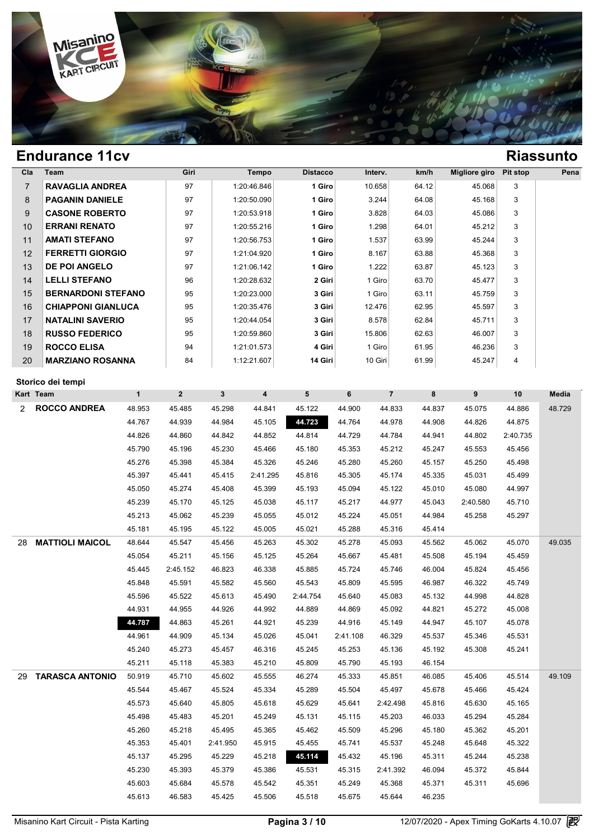

|                | <b>Endurance 11cv</b>     |                  |                  |                  |                  |                  |                  |                    |                  |                      |                  | <b>Riassunto</b> |
|----------------|---------------------------|------------------|------------------|------------------|------------------|------------------|------------------|--------------------|------------------|----------------------|------------------|------------------|
| Cla            | Team                      |                  | Giri             |                  | Tempo            | <b>Distacco</b>  |                  | Interv.            | km/h             | <b>Migliore giro</b> | Pit stop         | Pena             |
| $\overline{7}$ | <b>RAVAGLIA ANDREA</b>    |                  | 97               |                  | 1:20:46.846      | 1 Giro           |                  | 10.658             | 64.12            | 45.068               | 3                |                  |
| 8              | <b>PAGANIN DANIELE</b>    |                  | 97               |                  | 1:20:50.090      | 1 Giro           |                  | 3.244              | 64.08            | 45.168               | 3                |                  |
| 9              | <b>CASONE ROBERTO</b>     |                  | 97               |                  | 1:20:53.918      | 1 Giro           |                  | 3.828              | 64.03            | 45.086               | 3                |                  |
| 10             | <b>ERRANI RENATO</b>      |                  | 97               |                  | 1:20:55.216      | 1 Giro           |                  | 1.298              | 64.01            | 45.212               | 3                |                  |
| 11             | <b>AMATI STEFANO</b>      |                  | 97               |                  | 1:20:56.753      | 1 Giro           |                  | 1.537              | 63.99            | 45.244               | 3                |                  |
| 12             | <b>FERRETTI GIORGIO</b>   |                  | 97               |                  | 1:21:04.920      | 1 Giro           |                  | 8.167              | 63.88            | 45.368               | 3                |                  |
| 13             | <b>DE POI ANGELO</b>      |                  | 97               |                  | 1:21:06.142      | 1 Giro           |                  | 1.222              | 63.87            | 45.123               | 3                |                  |
| 14             | <b>LELLI STEFANO</b>      |                  | 96               |                  | 1:20:28.632      | 2 Giri           |                  | 1 Giro             | 63.70            | 45.477               | 3                |                  |
| 15             | <b>BERNARDONI STEFANO</b> |                  | 95               |                  | 1:20:23.000      | 3 Giri           |                  | 1 Giro             | 63.11            | 45.759               | 3                |                  |
| 16             | <b>CHIAPPONI GIANLUCA</b> |                  | 95               |                  | 1:20:35.476      | 3 Giri           |                  | 12.476             | 62.95            | 45.597               | 3                |                  |
| 17             | <b>NATALINI SAVERIO</b>   |                  | 95               |                  | 1:20:44.054      | 3 Giri           |                  | 8.578              | 62.84            | 45.711               | 3                |                  |
| 18             | <b>RUSSO FEDERICO</b>     |                  | 95               |                  | 1:20:59.860      | 3 Giri           |                  | 15.806             | 62.63            | 46.007               | 3                |                  |
| 19             | <b>ROCCO ELISA</b>        |                  | 94               |                  | 1:21:01.573      | 4 Giri           |                  | 1 Giro             | 61.95            | 46.236               | 3                |                  |
| 20             | <b>MARZIANO ROSANNA</b>   |                  | 84               |                  | 1:12:21.607      | 14 Giri          |                  | 10 Giri            | 61.99            | 45.247               | 4                |                  |
|                |                           |                  |                  |                  |                  |                  |                  |                    |                  |                      |                  |                  |
| Kart Team      | Storico dei tempi         | $\mathbf{1}$     | $\overline{2}$   | 3                | 4                | 5                | 6                | $\overline{7}$     | 8                | 9                    | 10               | Media            |
| 2              | <b>ROCCO ANDREA</b>       | 48.953           | 45.485           | 45.298           | 44.841           | 45.122           | 44.900           | 44.833             | 44.837           | 45.075               | 44.886           | 48.729           |
|                |                           | 44.767           | 44.939           | 44.984           | 45.105           | 44.723           | 44.764           | 44.978             | 44.908           | 44.826               | 44.875           |                  |
|                |                           | 44.826           | 44.860           | 44.842           | 44.852           | 44.814           | 44.729           | 44.784             | 44.941           | 44.802               | 2:40.735         |                  |
|                |                           | 45.790           | 45.196           | 45.230           | 45.466           | 45.180           | 45.353           | 45.212             | 45.247           | 45.553               | 45.456           |                  |
|                |                           | 45.276           | 45.398           | 45.384           | 45.326           | 45.246           | 45.280           | 45.260             | 45.157           | 45.250               | 45.498           |                  |
|                |                           | 45.397           | 45.441           | 45.415           | 2:41.295         | 45.816           | 45.305           | 45.174             | 45.335           | 45.031               | 45.499           |                  |
|                |                           | 45.050           | 45.274           | 45.408           | 45.399           | 45.193           | 45.094           | 45.122             | 45.010           | 45.080               | 44.997           |                  |
|                |                           | 45.239           | 45.170           | 45.125           | 45.038           | 45.117           | 45.217           | 44.977             | 45.043           | 2:40.580             | 45.710           |                  |
|                |                           | 45.213           | 45.062           | 45.239           | 45.055           | 45.012           | 45.224           | 45.051             | 44.984           | 45.258               | 45.297           |                  |
|                |                           | 45.181           | 45.195           | 45.122           | 45.005           | 45.021           | 45.288           | 45.316             | 45.414           |                      |                  |                  |
| 28             | <b>MATTIOLI MAICOL</b>    | 48.644           | 45.547           | 45.456           | 45.263           | 45.302           | 45.278           | 45.093             | 45.562           | 45.062               | 45.070           | 49.035           |
|                |                           | 45.054           | 45.211           | 45.156           | 45.125           | 45.264           | 45.667           | 45.481             | 45.508           | 45.194               | 45.459           |                  |
|                |                           | 45.445           | 2:45.152         | 46.823           | 46.338           | 45.885           | 45.724           | 45.746             | 46.004           | 45.824               | 45.456           |                  |
|                |                           | 45.848           | 45.591           | 45.582           | 45.560           | 45.543           | 45.809           | 45.595             | 46.987           | 46.322               | 45.749           |                  |
|                |                           | 45.596           | 45.522           | 45.613           | 45.490           | 2:44.754         | 45.640           | 45.083             | 45.132           | 44.998               | 44.828           |                  |
|                |                           | 44.931           | 44.955           | 44.926           | 44.992           | 44.889           | 44.869           | 45.092             | 44.821           | 45.272               | 45.008           |                  |
|                |                           | 44.787           | 44.863           | 45.261           | 44.921           | 45.239           | 44.916           | 45.149             | 44.947           | 45.107               | 45.078           |                  |
|                |                           | 44.961           | 44.909           | 45.134           | 45.026           | 45.041           | 2:41.108         | 46.329             | 45.537           | 45.346               | 45.531           |                  |
|                |                           | 45.240           | 45.273           | 45.457           | 46.316           | 45.245           | 45.253           | 45.136             | 45.192           | 45.308               | 45.241           |                  |
|                |                           | 45.211           | 45.118           | 45.383           | 45.210           | 45.809           | 45.790           | 45.193             | 46.154           |                      |                  |                  |
| 29             | <b>TARASCA ANTONIO</b>    | 50.919           | 45.710           | 45.602           | 45.555           | 46.274           | 45.333           | 45.851             | 46.085           | 45.406               | 45.514           | 49.109           |
|                |                           | 45.544           | 45.467           | 45.524           | 45.334           | 45.289           | 45.504           | 45.497             | 45.678           | 45.466               | 45.424           |                  |
|                |                           | 45.573           | 45.640           | 45.805           | 45.618           | 45.629           | 45.641           | 2:42.498           | 45.816           | 45.630               | 45.165           |                  |
|                |                           | 45.498           | 45.483           | 45.201           | 45.249           | 45.131           | 45.115           | 45.203             | 46.033           | 45.294               | 45.284           |                  |
|                |                           | 45.260           | 45.218           | 45.495           | 45.365           | 45.462           | 45.509           | 45.296             | 45.180           | 45.362               | 45.201           |                  |
|                |                           | 45.353           | 45.401           | 2:41.950         | 45.915           | 45.455           | 45.741           | 45.537             | 45.248           | 45.648               | 45.322           |                  |
|                |                           | 45.137           | 45.295           | 45.229           | 45.218           | 45.114           | 45.432           | 45.196             | 45.311           | 45.244               | 45.238           |                  |
|                |                           |                  |                  |                  |                  |                  |                  |                    |                  |                      |                  |                  |
|                |                           |                  |                  |                  |                  |                  |                  |                    |                  |                      |                  |                  |
|                |                           | 45.230<br>45.603 | 45.393<br>45.684 | 45.379<br>45.578 | 45.386<br>45.542 | 45.531<br>45.351 | 45.315<br>45.249 | 2:41.392<br>45.368 | 46.094<br>45.371 | 45.372<br>45.311     | 45.844<br>45.696 |                  |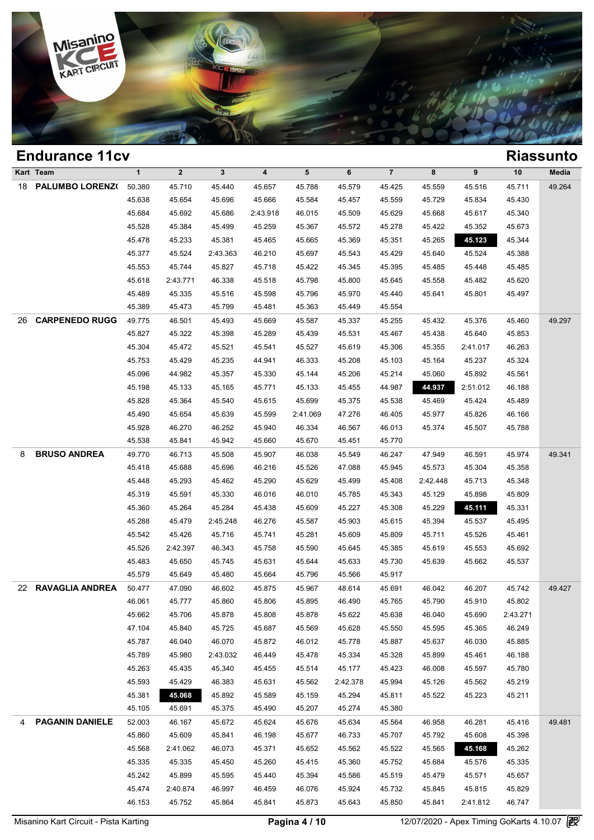

|    | <b>Endurance 11cv</b>  |              |             |          |                         |          |          |                |          |          |          | <b>Riassunto</b> |
|----|------------------------|--------------|-------------|----------|-------------------------|----------|----------|----------------|----------|----------|----------|------------------|
|    | Kart Team              | $\mathbf{1}$ | $\mathbf 2$ | 3        | $\overline{\mathbf{4}}$ | 5        | 6        | $\overline{7}$ | 8        | 9        | 10       | Media            |
| 18 | PALUMBO LORENZ(        | 50.380       | 45.710      | 45.440   | 45.657                  | 45.788   | 45.579   | 45.425         | 45.559   | 45.516   | 45.711   | 49.264           |
|    |                        | 45.638       | 45.654      | 45.696   | 45.666                  | 45.584   | 45.457   | 45.559         | 45.729   | 45.834   | 45.430   |                  |
|    |                        | 45.684       | 45.692      | 45.686   | 2:43.918                | 46.015   | 45.509   | 45.629         | 45.668   | 45.617   | 45.340   |                  |
|    |                        | 45.528       | 45.384      | 45.499   | 45.259                  | 45.367   | 45.572   | 45.278         | 45.422   | 45.352   | 45.673   |                  |
|    |                        | 45.478       | 45.233      | 45.381   | 45.465                  | 45.665   | 45.369   | 45.351         | 45.265   | 45.123   | 45.344   |                  |
|    |                        | 45.377       | 45.524      | 2:43.363 | 46.210                  | 45.697   | 45.543   | 45.429         | 45.640   | 45.524   | 45.388   |                  |
|    |                        | 45.553       | 45.744      | 45.827   | 45.718                  | 45.422   | 45.345   | 45.395         | 45.485   | 45.448   | 45.485   |                  |
|    |                        | 45.618       | 2:43.771    | 46.338   | 45.518                  | 45.798   | 45.800   | 45.645         | 45.558   | 45.482   | 45.620   |                  |
|    |                        | 45.489       | 45.335      | 45.516   | 45.598                  | 45.796   | 45.970   | 45.440         | 45.641   | 45.801   | 45.497   |                  |
|    |                        | 45.389       | 45.473      | 45.799   | 45.481                  | 45.363   | 45.449   | 45.554         |          |          |          |                  |
| 26 | <b>CARPENEDO RUGG</b>  | 49.775       | 46.501      | 45.493   | 45.669                  | 45.587   | 45.337   | 45.255         | 45.432   | 45.376   | 45.460   | 49.297           |
|    |                        | 45.827       | 45.322      | 45.398   | 45.289                  | 45.439   | 45.531   | 45.467         | 45.438   | 45.640   | 45.853   |                  |
|    |                        | 45.304       | 45.472      | 45.521   | 45.541                  | 45.527   | 45.619   | 45.306         | 45.355   | 2:41.017 | 46.263   |                  |
|    |                        | 45.753       | 45.429      | 45.235   | 44.941                  | 46.333   | 45.208   | 45.103         | 45.164   | 45.237   | 45.324   |                  |
|    |                        | 45.096       | 44.982      | 45.357   | 45.330                  | 45.144   | 45.206   | 45.214         | 45.060   | 45.892   | 45.561   |                  |
|    |                        | 45.198       | 45.133      | 45.165   | 45.771                  | 45.133   | 45.455   | 44.987         | 44.937   | 2:51.012 | 46.188   |                  |
|    |                        | 45.828       | 45.364      | 45.540   | 45.615                  | 45.699   | 45.375   | 45.538         | 45.469   | 45.424   | 45.489   |                  |
|    |                        | 45.490       | 45.654      | 45.639   | 45.599                  | 2:41.069 | 47.276   | 46.405         | 45.977   | 45.826   | 46.166   |                  |
|    |                        | 45.928       | 46.270      | 46.252   | 45.940                  | 46.334   | 46.567   | 46.013         | 45.374   | 45.507   | 45.788   |                  |
|    |                        | 45.538       | 45.841      | 45.942   | 45.660                  | 45.670   | 45.451   | 45.770         |          |          |          |                  |
| 8  | <b>BRUSO ANDREA</b>    | 49.770       | 46.713      | 45.508   | 45.907                  | 46.038   | 45.549   | 46.247         | 47.949   | 46.591   | 45.974   | 49.341           |
|    |                        | 45.418       | 45.688      | 45.696   | 46.216                  | 45.526   | 47.088   | 45.945         | 45.573   | 45.304   | 45.358   |                  |
|    |                        | 45.448       | 45.293      | 45.462   | 45.290                  | 45.629   | 45.499   | 45.408         | 2:42.448 | 45.713   | 45.348   |                  |
|    |                        | 45.319       | 45.591      | 45.330   | 46.016                  | 46.010   | 45.785   | 45.343         | 45.129   | 45.898   | 45.809   |                  |
|    |                        | 45.360       | 45.264      | 45.284   | 45.438                  | 45.609   | 45.227   | 45.308         | 45.229   | 45.111   | 45.331   |                  |
|    |                        | 45.288       | 45.479      | 2:45.248 | 46.276                  | 45.587   | 45.903   | 45.615         | 45.394   | 45.537   | 45.495   |                  |
|    |                        | 45.542       | 45.426      | 45.716   | 45.741                  | 45.281   | 45.609   | 45.809         | 45.711   | 45.526   | 45.461   |                  |
|    |                        | 45.526       | 2:42.397    | 46.343   | 45.758                  | 45.590   | 45.645   | 45.385         | 45.619   | 45.553   | 45.692   |                  |
|    |                        | 45.483       | 45.650      | 45.745   | 45.631                  | 45.644   | 45.633   | 45.730         | 45.639   | 45.662   | 45.537   |                  |
|    |                        | 45.579       | 45.649      | 45.480   | 45.664                  | 45.796   | 45.566   | 45.917         |          |          |          |                  |
|    | 22 RAVAGLIA ANDREA     | 50.477       | 47.090      | 46.602   | 45.875                  | 45.967   | 48.614   | 45.691         | 46.042   | 46.207   | 45.742   | 49.427           |
|    |                        | 46.061       | 45.777      | 45.860   | 45.806                  | 45.895   | 46.490   | 45.765         | 45.790   | 45.910   | 45.802   |                  |
|    |                        | 45.662       | 45.706      | 45.878   | 45.808                  | 45.878   | 45.622   | 45.638         | 46.040   | 45.690   | 2:43.271 |                  |
|    |                        | 47.104       | 45.840      | 45.725   | 45.687                  | 45.569   | 45.628   | 45.550         | 45.595   | 45.365   | 46.249   |                  |
|    |                        | 45.787       | 46.040      | 46.070   | 45.872                  | 46.012   | 45.778   | 45.887         | 45.637   | 46.030   | 45.885   |                  |
|    |                        | 45.789       | 45.980      | 2:43.032 | 46.449                  | 45.478   | 45.334   | 45.328         | 45.899   | 45.461   | 46.188   |                  |
|    |                        | 45.263       | 45.435      | 45.340   | 45.455                  | 45.514   | 45.177   | 45.423         | 46.008   | 45.597   | 45.780   |                  |
|    |                        | 45.593       | 45.429      | 46.383   | 45.631                  | 45.562   | 2:42.378 | 45.994         | 45.126   | 45.562   | 45.219   |                  |
|    |                        | 45.381       | 45.068      | 45.892   | 45.589                  | 45.159   | 45.294   | 45.811         | 45.522   | 45.223   | 45.211   |                  |
|    |                        | 45.105       | 45.691      | 45.375   | 45.490                  | 45.207   | 45.274   | 45.380         |          |          |          |                  |
| 4  | <b>PAGANIN DANIELE</b> | 52.003       | 46.167      | 45.672   | 45.624                  | 45.676   | 45.634   | 45.564         | 46.958   | 46.281   | 45.416   | 49.481           |
|    |                        | 45.860       | 45.609      | 45.841   | 46.198                  | 45.677   | 46.733   | 45.707         | 45.792   | 45.608   | 45.398   |                  |
|    |                        | 45.568       | 2:41.062    | 46.073   | 45.371                  | 45.652   | 45.562   | 45.522         | 45.565   | 45.168   | 45.262   |                  |
|    |                        | 45.335       | 45.335      | 45.450   | 45.260                  | 45.415   | 45.360   | 45.752         | 45.684   | 45.576   | 45.335   |                  |
|    |                        | 45.242       | 45.899      | 45.595   | 45.440                  | 45.394   | 45.586   | 45.519         | 45.479   | 45.571   | 45.657   |                  |
|    |                        | 45.474       | 2:40.874    | 46.997   | 46.459                  | 46.076   | 45.924   | 45.732         | 45.845   | 45.815   | 45.829   |                  |
|    |                        | 46.153       | 45.752      | 45.864   | 45.841                  | 45.873   | 45.643   | 45.850         | 45.841   | 2:41.812 | 46.747   |                  |
|    |                        |              |             |          |                         |          |          |                |          |          |          |                  |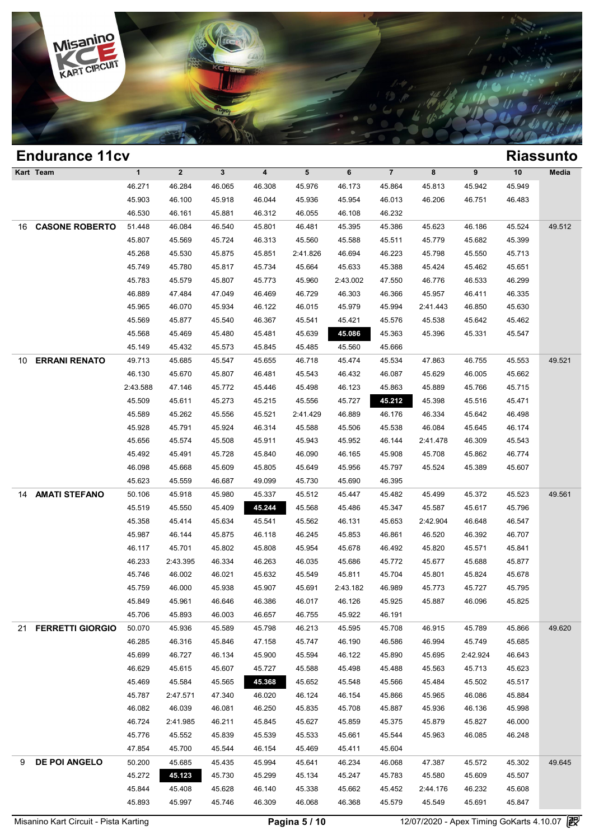

| 5<br>$\overline{7}$<br>Kart Team<br>$\mathbf{1}$<br>$\mathbf{2}$<br>$\mathbf{3}$<br>$\overline{\mathbf{4}}$<br>6<br>8<br>9<br>10<br>Media<br>45.949<br>46.271<br>46.284<br>46.065<br>46.308<br>45.976<br>46.173<br>45.864<br>45.813<br>45.942<br>45.903<br>46.100<br>45.918<br>46.044<br>45.936<br>45.954<br>46.013<br>46.206<br>46.751<br>46.483<br>46.530<br>46.161<br>45.881<br>46.312<br>46.055<br>46.108<br>46.232<br><b>CASONE ROBERTO</b><br>46.084<br>45.623<br>45.524<br>49.512<br>51.448<br>46.540<br>45.801<br>46.481<br>45.395<br>45.386<br>46.186<br>45.807<br>45.569<br>45.724<br>46.313<br>45.560<br>45.588<br>45.779<br>45.399<br>45.511<br>45.682<br>45.268<br>45.530<br>45.851<br>45.798<br>45.875<br>2:41.826<br>46.694<br>46.223<br>45.550<br>45.713<br>45.749<br>45.664<br>45.633<br>45.780<br>45.817<br>45.734<br>45.388<br>45.424<br>45.462<br>45.651<br>45.783<br>45.579<br>45.807<br>45.773<br>45.960<br>2:43.002<br>47.550<br>46.776<br>46.533<br>46.299<br>46.889<br>47.484<br>47.049<br>46.729<br>45.957<br>46.335<br>46.469<br>46.303<br>46.366<br>46.411<br>45.965<br>46.070<br>45.934<br>46.122<br>46.015<br>45.979<br>45.994<br>2:41.443<br>46.850<br>45.630<br>45.569<br>45.877<br>45.540<br>46.367<br>45.541<br>45.421<br>45.576<br>45.538<br>45.642<br>45.462<br>45.086<br>45.568<br>45.469<br>45.480<br>45.481<br>45.639<br>45.363<br>45.396<br>45.331<br>45.547<br>45.149<br>45.432<br>45.573<br>45.845<br>45.485<br>45.560<br>45.666<br><b>ERRANI RENATO</b><br>49.713<br>45.685<br>45.655<br>46.718<br>45.474<br>45.534<br>47.863<br>45.553<br>49.521<br>45.547<br>46.755<br>46.130<br>45.629<br>45.670<br>45.807<br>46.481<br>45.543<br>46.432<br>46.087<br>46.005<br>45.662<br>2:43.588<br>47.146<br>45.772<br>45.446<br>45.498<br>46.123<br>45.863<br>45.889<br>45.766<br>45.715<br>45.509<br>45.611<br>45.273<br>45.556<br>45.727<br>45.212<br>45.398<br>45.471<br>45.215<br>45.516<br>45.589<br>45.262<br>45.556<br>46.889<br>46.334<br>46.498<br>45.521<br>2:41.429<br>46.176<br>45.642<br>45.928<br>45.924<br>45.791<br>46.314<br>45.588<br>45.506<br>45.538<br>46.084<br>45.645<br>46.174<br>45.656<br>45.574<br>45.508<br>45.911<br>45.943<br>45.952<br>46.144<br>2:41.478<br>46.309<br>45.543<br>45.492<br>45.491<br>45.840<br>46.090<br>46.774<br>45.728<br>46.165<br>45.908<br>45.708<br>45.862<br>46.098<br>45.668<br>45.609<br>45.805<br>45.649<br>45.797<br>45.524<br>45.956<br>45.389<br>45.607<br>45.623<br>45.559<br>49.099<br>46.687<br>45.730<br>45.690<br>46.395<br><b>AMATI STEFANO</b><br>50.106<br>45.918<br>45.980<br>45.523<br>49.561<br>45.337<br>45.512<br>45.447<br>45.482<br>45.499<br>45.372<br>45.244<br>45.519<br>45.550<br>45.409<br>45.568<br>45.587<br>45.796<br>45.486<br>45.347<br>45.617<br>45.358<br>45.414<br>45.634<br>45.562<br>46.131<br>2:42.904<br>46.547<br>45.541<br>45.653<br>46.648<br>45.987<br>46.707<br>46.144<br>45.875<br>46.118<br>46.245<br>45.853<br>46.861<br>46.520<br>46.392<br>46.117<br>45.701<br>45.802<br>45.808<br>45.954<br>45.678<br>46.492<br>45.820<br>45.571<br>45.841<br>46.233<br>2:43.395<br>46.334<br>46.263<br>46.035<br>45.686<br>45.772<br>45.677<br>45.688<br>45.877<br>45.746<br>45.549<br>45.801<br>46.002<br>46.021<br>45.632<br>45.811<br>45.704<br>45.824<br>45.678<br>45.759<br>45.938<br>46.000<br>45.907<br>45.691<br>2:43.182<br>46.989<br>45.773<br>45.727<br>45.795<br>45.849<br>45.825<br>45.961<br>46.646<br>46.386<br>46.017<br>46.126<br>45.925<br>45.887<br>46.096<br>45.706<br>45.893<br>46.003<br>46.657<br>46.755<br>45.922<br>46.191<br>21 FERRETTI GIORGIO<br>50.070<br>46.213<br>49.620<br>45.936<br>45.589<br>45.798<br>45.595<br>45.708<br>46.915<br>45.789<br>45.866<br>46.285<br>46.316<br>45.846<br>45.747<br>46.190<br>46.586<br>46.994<br>45.685<br>47.158<br>45.749<br>45.699<br>46.727<br>46.134<br>45.900<br>45.594<br>45.695<br>46.643<br>46.122<br>45.890<br>2:42.924<br>46.629<br>45.615<br>45.607<br>45.498<br>45.563<br>45.623<br>45.727<br>45.588<br>45.488<br>45.713<br>45.469<br>45.584<br>45.565<br>45.368<br>45.652<br>45.548<br>45.484<br>45.517<br>45.566<br>45.502<br>45.787<br>2:47.571<br>47.340<br>46.020<br>46.124<br>46.154<br>45.866<br>45.965<br>46.086<br>45.884<br>46.082<br>46.039<br>46.081<br>45.835<br>45.936<br>45.998<br>46.250<br>45.708<br>45.887<br>46.136<br>46.724<br>2:41.985<br>46.211<br>45.845<br>45.627<br>45.859<br>45.375<br>45.879<br>45.827<br>46.000<br>45.776<br>45.552<br>45.839<br>45.539<br>45.533<br>45.661<br>45.544<br>45.963<br>46.085<br>46.248<br>47.854<br>45.700<br>45.544<br>46.154<br>45.469<br>45.411<br>45.604<br>DE POI ANGELO<br>50.200<br>45.685<br>45.994<br>45.641<br>45.302<br>49.645<br>45.435<br>46.234<br>46.068<br>47.387<br>45.572<br>45.272<br>45.123<br>45.730<br>45.299<br>45.134<br>45.247<br>45.783<br>45.580<br>45.609<br>45.507<br>45.844<br>45.408<br>45.628<br>46.140<br>45.338<br>45.662<br>45.452<br>2:44.176<br>46.232<br>45.608<br>45.893<br>45.997<br>45.549<br>45.847<br>45.746<br>46.309<br>46.068<br>46.368<br>45.579<br>45.691 |    | <b>Endurance 11cv</b> |  |  |  |  |  | <b>Riassunto</b> |
|------------------------------------------------------------------------------------------------------------------------------------------------------------------------------------------------------------------------------------------------------------------------------------------------------------------------------------------------------------------------------------------------------------------------------------------------------------------------------------------------------------------------------------------------------------------------------------------------------------------------------------------------------------------------------------------------------------------------------------------------------------------------------------------------------------------------------------------------------------------------------------------------------------------------------------------------------------------------------------------------------------------------------------------------------------------------------------------------------------------------------------------------------------------------------------------------------------------------------------------------------------------------------------------------------------------------------------------------------------------------------------------------------------------------------------------------------------------------------------------------------------------------------------------------------------------------------------------------------------------------------------------------------------------------------------------------------------------------------------------------------------------------------------------------------------------------------------------------------------------------------------------------------------------------------------------------------------------------------------------------------------------------------------------------------------------------------------------------------------------------------------------------------------------------------------------------------------------------------------------------------------------------------------------------------------------------------------------------------------------------------------------------------------------------------------------------------------------------------------------------------------------------------------------------------------------------------------------------------------------------------------------------------------------------------------------------------------------------------------------------------------------------------------------------------------------------------------------------------------------------------------------------------------------------------------------------------------------------------------------------------------------------------------------------------------------------------------------------------------------------------------------------------------------------------------------------------------------------------------------------------------------------------------------------------------------------------------------------------------------------------------------------------------------------------------------------------------------------------------------------------------------------------------------------------------------------------------------------------------------------------------------------------------------------------------------------------------------------------------------------------------------------------------------------------------------------------------------------------------------------------------------------------------------------------------------------------------------------------------------------------------------------------------------------------------------------------------------------------------------------------------------------------------------------------------------------------------------------------------------------------------------------------------------------------------------------------------------------------------------------------------------------------------------------------------------------------------------------------------------------------------------------------------------------------------------------------------------------------------------------------------------------------------------------------------------------------------------------------------------------------------------------------------------------------------------------------------------------------------------------------------------------------------------------------------------------------------------------------------------------------------------------------------------------------------------------------|----|-----------------------|--|--|--|--|--|------------------|
|                                                                                                                                                                                                                                                                                                                                                                                                                                                                                                                                                                                                                                                                                                                                                                                                                                                                                                                                                                                                                                                                                                                                                                                                                                                                                                                                                                                                                                                                                                                                                                                                                                                                                                                                                                                                                                                                                                                                                                                                                                                                                                                                                                                                                                                                                                                                                                                                                                                                                                                                                                                                                                                                                                                                                                                                                                                                                                                                                                                                                                                                                                                                                                                                                                                                                                                                                                                                                                                                                                                                                                                                                                                                                                                                                                                                                                                                                                                                                                                                                                                                                                                                                                                                                                                                                                                                                                                                                                                                                                                                                                                                                                                                                                                                                                                                                                                                                                                                                                                                                                                                              |    |                       |  |  |  |  |  |                  |
|                                                                                                                                                                                                                                                                                                                                                                                                                                                                                                                                                                                                                                                                                                                                                                                                                                                                                                                                                                                                                                                                                                                                                                                                                                                                                                                                                                                                                                                                                                                                                                                                                                                                                                                                                                                                                                                                                                                                                                                                                                                                                                                                                                                                                                                                                                                                                                                                                                                                                                                                                                                                                                                                                                                                                                                                                                                                                                                                                                                                                                                                                                                                                                                                                                                                                                                                                                                                                                                                                                                                                                                                                                                                                                                                                                                                                                                                                                                                                                                                                                                                                                                                                                                                                                                                                                                                                                                                                                                                                                                                                                                                                                                                                                                                                                                                                                                                                                                                                                                                                                                                              |    |                       |  |  |  |  |  |                  |
|                                                                                                                                                                                                                                                                                                                                                                                                                                                                                                                                                                                                                                                                                                                                                                                                                                                                                                                                                                                                                                                                                                                                                                                                                                                                                                                                                                                                                                                                                                                                                                                                                                                                                                                                                                                                                                                                                                                                                                                                                                                                                                                                                                                                                                                                                                                                                                                                                                                                                                                                                                                                                                                                                                                                                                                                                                                                                                                                                                                                                                                                                                                                                                                                                                                                                                                                                                                                                                                                                                                                                                                                                                                                                                                                                                                                                                                                                                                                                                                                                                                                                                                                                                                                                                                                                                                                                                                                                                                                                                                                                                                                                                                                                                                                                                                                                                                                                                                                                                                                                                                                              |    |                       |  |  |  |  |  |                  |
|                                                                                                                                                                                                                                                                                                                                                                                                                                                                                                                                                                                                                                                                                                                                                                                                                                                                                                                                                                                                                                                                                                                                                                                                                                                                                                                                                                                                                                                                                                                                                                                                                                                                                                                                                                                                                                                                                                                                                                                                                                                                                                                                                                                                                                                                                                                                                                                                                                                                                                                                                                                                                                                                                                                                                                                                                                                                                                                                                                                                                                                                                                                                                                                                                                                                                                                                                                                                                                                                                                                                                                                                                                                                                                                                                                                                                                                                                                                                                                                                                                                                                                                                                                                                                                                                                                                                                                                                                                                                                                                                                                                                                                                                                                                                                                                                                                                                                                                                                                                                                                                                              |    |                       |  |  |  |  |  |                  |
|                                                                                                                                                                                                                                                                                                                                                                                                                                                                                                                                                                                                                                                                                                                                                                                                                                                                                                                                                                                                                                                                                                                                                                                                                                                                                                                                                                                                                                                                                                                                                                                                                                                                                                                                                                                                                                                                                                                                                                                                                                                                                                                                                                                                                                                                                                                                                                                                                                                                                                                                                                                                                                                                                                                                                                                                                                                                                                                                                                                                                                                                                                                                                                                                                                                                                                                                                                                                                                                                                                                                                                                                                                                                                                                                                                                                                                                                                                                                                                                                                                                                                                                                                                                                                                                                                                                                                                                                                                                                                                                                                                                                                                                                                                                                                                                                                                                                                                                                                                                                                                                                              | 16 |                       |  |  |  |  |  |                  |
|                                                                                                                                                                                                                                                                                                                                                                                                                                                                                                                                                                                                                                                                                                                                                                                                                                                                                                                                                                                                                                                                                                                                                                                                                                                                                                                                                                                                                                                                                                                                                                                                                                                                                                                                                                                                                                                                                                                                                                                                                                                                                                                                                                                                                                                                                                                                                                                                                                                                                                                                                                                                                                                                                                                                                                                                                                                                                                                                                                                                                                                                                                                                                                                                                                                                                                                                                                                                                                                                                                                                                                                                                                                                                                                                                                                                                                                                                                                                                                                                                                                                                                                                                                                                                                                                                                                                                                                                                                                                                                                                                                                                                                                                                                                                                                                                                                                                                                                                                                                                                                                                              |    |                       |  |  |  |  |  |                  |
|                                                                                                                                                                                                                                                                                                                                                                                                                                                                                                                                                                                                                                                                                                                                                                                                                                                                                                                                                                                                                                                                                                                                                                                                                                                                                                                                                                                                                                                                                                                                                                                                                                                                                                                                                                                                                                                                                                                                                                                                                                                                                                                                                                                                                                                                                                                                                                                                                                                                                                                                                                                                                                                                                                                                                                                                                                                                                                                                                                                                                                                                                                                                                                                                                                                                                                                                                                                                                                                                                                                                                                                                                                                                                                                                                                                                                                                                                                                                                                                                                                                                                                                                                                                                                                                                                                                                                                                                                                                                                                                                                                                                                                                                                                                                                                                                                                                                                                                                                                                                                                                                              |    |                       |  |  |  |  |  |                  |
|                                                                                                                                                                                                                                                                                                                                                                                                                                                                                                                                                                                                                                                                                                                                                                                                                                                                                                                                                                                                                                                                                                                                                                                                                                                                                                                                                                                                                                                                                                                                                                                                                                                                                                                                                                                                                                                                                                                                                                                                                                                                                                                                                                                                                                                                                                                                                                                                                                                                                                                                                                                                                                                                                                                                                                                                                                                                                                                                                                                                                                                                                                                                                                                                                                                                                                                                                                                                                                                                                                                                                                                                                                                                                                                                                                                                                                                                                                                                                                                                                                                                                                                                                                                                                                                                                                                                                                                                                                                                                                                                                                                                                                                                                                                                                                                                                                                                                                                                                                                                                                                                              |    |                       |  |  |  |  |  |                  |
|                                                                                                                                                                                                                                                                                                                                                                                                                                                                                                                                                                                                                                                                                                                                                                                                                                                                                                                                                                                                                                                                                                                                                                                                                                                                                                                                                                                                                                                                                                                                                                                                                                                                                                                                                                                                                                                                                                                                                                                                                                                                                                                                                                                                                                                                                                                                                                                                                                                                                                                                                                                                                                                                                                                                                                                                                                                                                                                                                                                                                                                                                                                                                                                                                                                                                                                                                                                                                                                                                                                                                                                                                                                                                                                                                                                                                                                                                                                                                                                                                                                                                                                                                                                                                                                                                                                                                                                                                                                                                                                                                                                                                                                                                                                                                                                                                                                                                                                                                                                                                                                                              |    |                       |  |  |  |  |  |                  |
|                                                                                                                                                                                                                                                                                                                                                                                                                                                                                                                                                                                                                                                                                                                                                                                                                                                                                                                                                                                                                                                                                                                                                                                                                                                                                                                                                                                                                                                                                                                                                                                                                                                                                                                                                                                                                                                                                                                                                                                                                                                                                                                                                                                                                                                                                                                                                                                                                                                                                                                                                                                                                                                                                                                                                                                                                                                                                                                                                                                                                                                                                                                                                                                                                                                                                                                                                                                                                                                                                                                                                                                                                                                                                                                                                                                                                                                                                                                                                                                                                                                                                                                                                                                                                                                                                                                                                                                                                                                                                                                                                                                                                                                                                                                                                                                                                                                                                                                                                                                                                                                                              |    |                       |  |  |  |  |  |                  |
|                                                                                                                                                                                                                                                                                                                                                                                                                                                                                                                                                                                                                                                                                                                                                                                                                                                                                                                                                                                                                                                                                                                                                                                                                                                                                                                                                                                                                                                                                                                                                                                                                                                                                                                                                                                                                                                                                                                                                                                                                                                                                                                                                                                                                                                                                                                                                                                                                                                                                                                                                                                                                                                                                                                                                                                                                                                                                                                                                                                                                                                                                                                                                                                                                                                                                                                                                                                                                                                                                                                                                                                                                                                                                                                                                                                                                                                                                                                                                                                                                                                                                                                                                                                                                                                                                                                                                                                                                                                                                                                                                                                                                                                                                                                                                                                                                                                                                                                                                                                                                                                                              |    |                       |  |  |  |  |  |                  |
|                                                                                                                                                                                                                                                                                                                                                                                                                                                                                                                                                                                                                                                                                                                                                                                                                                                                                                                                                                                                                                                                                                                                                                                                                                                                                                                                                                                                                                                                                                                                                                                                                                                                                                                                                                                                                                                                                                                                                                                                                                                                                                                                                                                                                                                                                                                                                                                                                                                                                                                                                                                                                                                                                                                                                                                                                                                                                                                                                                                                                                                                                                                                                                                                                                                                                                                                                                                                                                                                                                                                                                                                                                                                                                                                                                                                                                                                                                                                                                                                                                                                                                                                                                                                                                                                                                                                                                                                                                                                                                                                                                                                                                                                                                                                                                                                                                                                                                                                                                                                                                                                              |    |                       |  |  |  |  |  |                  |
|                                                                                                                                                                                                                                                                                                                                                                                                                                                                                                                                                                                                                                                                                                                                                                                                                                                                                                                                                                                                                                                                                                                                                                                                                                                                                                                                                                                                                                                                                                                                                                                                                                                                                                                                                                                                                                                                                                                                                                                                                                                                                                                                                                                                                                                                                                                                                                                                                                                                                                                                                                                                                                                                                                                                                                                                                                                                                                                                                                                                                                                                                                                                                                                                                                                                                                                                                                                                                                                                                                                                                                                                                                                                                                                                                                                                                                                                                                                                                                                                                                                                                                                                                                                                                                                                                                                                                                                                                                                                                                                                                                                                                                                                                                                                                                                                                                                                                                                                                                                                                                                                              |    |                       |  |  |  |  |  |                  |
|                                                                                                                                                                                                                                                                                                                                                                                                                                                                                                                                                                                                                                                                                                                                                                                                                                                                                                                                                                                                                                                                                                                                                                                                                                                                                                                                                                                                                                                                                                                                                                                                                                                                                                                                                                                                                                                                                                                                                                                                                                                                                                                                                                                                                                                                                                                                                                                                                                                                                                                                                                                                                                                                                                                                                                                                                                                                                                                                                                                                                                                                                                                                                                                                                                                                                                                                                                                                                                                                                                                                                                                                                                                                                                                                                                                                                                                                                                                                                                                                                                                                                                                                                                                                                                                                                                                                                                                                                                                                                                                                                                                                                                                                                                                                                                                                                                                                                                                                                                                                                                                                              |    |                       |  |  |  |  |  |                  |
|                                                                                                                                                                                                                                                                                                                                                                                                                                                                                                                                                                                                                                                                                                                                                                                                                                                                                                                                                                                                                                                                                                                                                                                                                                                                                                                                                                                                                                                                                                                                                                                                                                                                                                                                                                                                                                                                                                                                                                                                                                                                                                                                                                                                                                                                                                                                                                                                                                                                                                                                                                                                                                                                                                                                                                                                                                                                                                                                                                                                                                                                                                                                                                                                                                                                                                                                                                                                                                                                                                                                                                                                                                                                                                                                                                                                                                                                                                                                                                                                                                                                                                                                                                                                                                                                                                                                                                                                                                                                                                                                                                                                                                                                                                                                                                                                                                                                                                                                                                                                                                                                              | 10 |                       |  |  |  |  |  |                  |
|                                                                                                                                                                                                                                                                                                                                                                                                                                                                                                                                                                                                                                                                                                                                                                                                                                                                                                                                                                                                                                                                                                                                                                                                                                                                                                                                                                                                                                                                                                                                                                                                                                                                                                                                                                                                                                                                                                                                                                                                                                                                                                                                                                                                                                                                                                                                                                                                                                                                                                                                                                                                                                                                                                                                                                                                                                                                                                                                                                                                                                                                                                                                                                                                                                                                                                                                                                                                                                                                                                                                                                                                                                                                                                                                                                                                                                                                                                                                                                                                                                                                                                                                                                                                                                                                                                                                                                                                                                                                                                                                                                                                                                                                                                                                                                                                                                                                                                                                                                                                                                                                              |    |                       |  |  |  |  |  |                  |
|                                                                                                                                                                                                                                                                                                                                                                                                                                                                                                                                                                                                                                                                                                                                                                                                                                                                                                                                                                                                                                                                                                                                                                                                                                                                                                                                                                                                                                                                                                                                                                                                                                                                                                                                                                                                                                                                                                                                                                                                                                                                                                                                                                                                                                                                                                                                                                                                                                                                                                                                                                                                                                                                                                                                                                                                                                                                                                                                                                                                                                                                                                                                                                                                                                                                                                                                                                                                                                                                                                                                                                                                                                                                                                                                                                                                                                                                                                                                                                                                                                                                                                                                                                                                                                                                                                                                                                                                                                                                                                                                                                                                                                                                                                                                                                                                                                                                                                                                                                                                                                                                              |    |                       |  |  |  |  |  |                  |
|                                                                                                                                                                                                                                                                                                                                                                                                                                                                                                                                                                                                                                                                                                                                                                                                                                                                                                                                                                                                                                                                                                                                                                                                                                                                                                                                                                                                                                                                                                                                                                                                                                                                                                                                                                                                                                                                                                                                                                                                                                                                                                                                                                                                                                                                                                                                                                                                                                                                                                                                                                                                                                                                                                                                                                                                                                                                                                                                                                                                                                                                                                                                                                                                                                                                                                                                                                                                                                                                                                                                                                                                                                                                                                                                                                                                                                                                                                                                                                                                                                                                                                                                                                                                                                                                                                                                                                                                                                                                                                                                                                                                                                                                                                                                                                                                                                                                                                                                                                                                                                                                              |    |                       |  |  |  |  |  |                  |
|                                                                                                                                                                                                                                                                                                                                                                                                                                                                                                                                                                                                                                                                                                                                                                                                                                                                                                                                                                                                                                                                                                                                                                                                                                                                                                                                                                                                                                                                                                                                                                                                                                                                                                                                                                                                                                                                                                                                                                                                                                                                                                                                                                                                                                                                                                                                                                                                                                                                                                                                                                                                                                                                                                                                                                                                                                                                                                                                                                                                                                                                                                                                                                                                                                                                                                                                                                                                                                                                                                                                                                                                                                                                                                                                                                                                                                                                                                                                                                                                                                                                                                                                                                                                                                                                                                                                                                                                                                                                                                                                                                                                                                                                                                                                                                                                                                                                                                                                                                                                                                                                              |    |                       |  |  |  |  |  |                  |
|                                                                                                                                                                                                                                                                                                                                                                                                                                                                                                                                                                                                                                                                                                                                                                                                                                                                                                                                                                                                                                                                                                                                                                                                                                                                                                                                                                                                                                                                                                                                                                                                                                                                                                                                                                                                                                                                                                                                                                                                                                                                                                                                                                                                                                                                                                                                                                                                                                                                                                                                                                                                                                                                                                                                                                                                                                                                                                                                                                                                                                                                                                                                                                                                                                                                                                                                                                                                                                                                                                                                                                                                                                                                                                                                                                                                                                                                                                                                                                                                                                                                                                                                                                                                                                                                                                                                                                                                                                                                                                                                                                                                                                                                                                                                                                                                                                                                                                                                                                                                                                                                              |    |                       |  |  |  |  |  |                  |
|                                                                                                                                                                                                                                                                                                                                                                                                                                                                                                                                                                                                                                                                                                                                                                                                                                                                                                                                                                                                                                                                                                                                                                                                                                                                                                                                                                                                                                                                                                                                                                                                                                                                                                                                                                                                                                                                                                                                                                                                                                                                                                                                                                                                                                                                                                                                                                                                                                                                                                                                                                                                                                                                                                                                                                                                                                                                                                                                                                                                                                                                                                                                                                                                                                                                                                                                                                                                                                                                                                                                                                                                                                                                                                                                                                                                                                                                                                                                                                                                                                                                                                                                                                                                                                                                                                                                                                                                                                                                                                                                                                                                                                                                                                                                                                                                                                                                                                                                                                                                                                                                              |    |                       |  |  |  |  |  |                  |
|                                                                                                                                                                                                                                                                                                                                                                                                                                                                                                                                                                                                                                                                                                                                                                                                                                                                                                                                                                                                                                                                                                                                                                                                                                                                                                                                                                                                                                                                                                                                                                                                                                                                                                                                                                                                                                                                                                                                                                                                                                                                                                                                                                                                                                                                                                                                                                                                                                                                                                                                                                                                                                                                                                                                                                                                                                                                                                                                                                                                                                                                                                                                                                                                                                                                                                                                                                                                                                                                                                                                                                                                                                                                                                                                                                                                                                                                                                                                                                                                                                                                                                                                                                                                                                                                                                                                                                                                                                                                                                                                                                                                                                                                                                                                                                                                                                                                                                                                                                                                                                                                              |    |                       |  |  |  |  |  |                  |
|                                                                                                                                                                                                                                                                                                                                                                                                                                                                                                                                                                                                                                                                                                                                                                                                                                                                                                                                                                                                                                                                                                                                                                                                                                                                                                                                                                                                                                                                                                                                                                                                                                                                                                                                                                                                                                                                                                                                                                                                                                                                                                                                                                                                                                                                                                                                                                                                                                                                                                                                                                                                                                                                                                                                                                                                                                                                                                                                                                                                                                                                                                                                                                                                                                                                                                                                                                                                                                                                                                                                                                                                                                                                                                                                                                                                                                                                                                                                                                                                                                                                                                                                                                                                                                                                                                                                                                                                                                                                                                                                                                                                                                                                                                                                                                                                                                                                                                                                                                                                                                                                              |    |                       |  |  |  |  |  |                  |
|                                                                                                                                                                                                                                                                                                                                                                                                                                                                                                                                                                                                                                                                                                                                                                                                                                                                                                                                                                                                                                                                                                                                                                                                                                                                                                                                                                                                                                                                                                                                                                                                                                                                                                                                                                                                                                                                                                                                                                                                                                                                                                                                                                                                                                                                                                                                                                                                                                                                                                                                                                                                                                                                                                                                                                                                                                                                                                                                                                                                                                                                                                                                                                                                                                                                                                                                                                                                                                                                                                                                                                                                                                                                                                                                                                                                                                                                                                                                                                                                                                                                                                                                                                                                                                                                                                                                                                                                                                                                                                                                                                                                                                                                                                                                                                                                                                                                                                                                                                                                                                                                              |    |                       |  |  |  |  |  |                  |
|                                                                                                                                                                                                                                                                                                                                                                                                                                                                                                                                                                                                                                                                                                                                                                                                                                                                                                                                                                                                                                                                                                                                                                                                                                                                                                                                                                                                                                                                                                                                                                                                                                                                                                                                                                                                                                                                                                                                                                                                                                                                                                                                                                                                                                                                                                                                                                                                                                                                                                                                                                                                                                                                                                                                                                                                                                                                                                                                                                                                                                                                                                                                                                                                                                                                                                                                                                                                                                                                                                                                                                                                                                                                                                                                                                                                                                                                                                                                                                                                                                                                                                                                                                                                                                                                                                                                                                                                                                                                                                                                                                                                                                                                                                                                                                                                                                                                                                                                                                                                                                                                              | 14 |                       |  |  |  |  |  |                  |
|                                                                                                                                                                                                                                                                                                                                                                                                                                                                                                                                                                                                                                                                                                                                                                                                                                                                                                                                                                                                                                                                                                                                                                                                                                                                                                                                                                                                                                                                                                                                                                                                                                                                                                                                                                                                                                                                                                                                                                                                                                                                                                                                                                                                                                                                                                                                                                                                                                                                                                                                                                                                                                                                                                                                                                                                                                                                                                                                                                                                                                                                                                                                                                                                                                                                                                                                                                                                                                                                                                                                                                                                                                                                                                                                                                                                                                                                                                                                                                                                                                                                                                                                                                                                                                                                                                                                                                                                                                                                                                                                                                                                                                                                                                                                                                                                                                                                                                                                                                                                                                                                              |    |                       |  |  |  |  |  |                  |
|                                                                                                                                                                                                                                                                                                                                                                                                                                                                                                                                                                                                                                                                                                                                                                                                                                                                                                                                                                                                                                                                                                                                                                                                                                                                                                                                                                                                                                                                                                                                                                                                                                                                                                                                                                                                                                                                                                                                                                                                                                                                                                                                                                                                                                                                                                                                                                                                                                                                                                                                                                                                                                                                                                                                                                                                                                                                                                                                                                                                                                                                                                                                                                                                                                                                                                                                                                                                                                                                                                                                                                                                                                                                                                                                                                                                                                                                                                                                                                                                                                                                                                                                                                                                                                                                                                                                                                                                                                                                                                                                                                                                                                                                                                                                                                                                                                                                                                                                                                                                                                                                              |    |                       |  |  |  |  |  |                  |
|                                                                                                                                                                                                                                                                                                                                                                                                                                                                                                                                                                                                                                                                                                                                                                                                                                                                                                                                                                                                                                                                                                                                                                                                                                                                                                                                                                                                                                                                                                                                                                                                                                                                                                                                                                                                                                                                                                                                                                                                                                                                                                                                                                                                                                                                                                                                                                                                                                                                                                                                                                                                                                                                                                                                                                                                                                                                                                                                                                                                                                                                                                                                                                                                                                                                                                                                                                                                                                                                                                                                                                                                                                                                                                                                                                                                                                                                                                                                                                                                                                                                                                                                                                                                                                                                                                                                                                                                                                                                                                                                                                                                                                                                                                                                                                                                                                                                                                                                                                                                                                                                              |    |                       |  |  |  |  |  |                  |
|                                                                                                                                                                                                                                                                                                                                                                                                                                                                                                                                                                                                                                                                                                                                                                                                                                                                                                                                                                                                                                                                                                                                                                                                                                                                                                                                                                                                                                                                                                                                                                                                                                                                                                                                                                                                                                                                                                                                                                                                                                                                                                                                                                                                                                                                                                                                                                                                                                                                                                                                                                                                                                                                                                                                                                                                                                                                                                                                                                                                                                                                                                                                                                                                                                                                                                                                                                                                                                                                                                                                                                                                                                                                                                                                                                                                                                                                                                                                                                                                                                                                                                                                                                                                                                                                                                                                                                                                                                                                                                                                                                                                                                                                                                                                                                                                                                                                                                                                                                                                                                                                              |    |                       |  |  |  |  |  |                  |
|                                                                                                                                                                                                                                                                                                                                                                                                                                                                                                                                                                                                                                                                                                                                                                                                                                                                                                                                                                                                                                                                                                                                                                                                                                                                                                                                                                                                                                                                                                                                                                                                                                                                                                                                                                                                                                                                                                                                                                                                                                                                                                                                                                                                                                                                                                                                                                                                                                                                                                                                                                                                                                                                                                                                                                                                                                                                                                                                                                                                                                                                                                                                                                                                                                                                                                                                                                                                                                                                                                                                                                                                                                                                                                                                                                                                                                                                                                                                                                                                                                                                                                                                                                                                                                                                                                                                                                                                                                                                                                                                                                                                                                                                                                                                                                                                                                                                                                                                                                                                                                                                              |    |                       |  |  |  |  |  |                  |
|                                                                                                                                                                                                                                                                                                                                                                                                                                                                                                                                                                                                                                                                                                                                                                                                                                                                                                                                                                                                                                                                                                                                                                                                                                                                                                                                                                                                                                                                                                                                                                                                                                                                                                                                                                                                                                                                                                                                                                                                                                                                                                                                                                                                                                                                                                                                                                                                                                                                                                                                                                                                                                                                                                                                                                                                                                                                                                                                                                                                                                                                                                                                                                                                                                                                                                                                                                                                                                                                                                                                                                                                                                                                                                                                                                                                                                                                                                                                                                                                                                                                                                                                                                                                                                                                                                                                                                                                                                                                                                                                                                                                                                                                                                                                                                                                                                                                                                                                                                                                                                                                              |    |                       |  |  |  |  |  |                  |
|                                                                                                                                                                                                                                                                                                                                                                                                                                                                                                                                                                                                                                                                                                                                                                                                                                                                                                                                                                                                                                                                                                                                                                                                                                                                                                                                                                                                                                                                                                                                                                                                                                                                                                                                                                                                                                                                                                                                                                                                                                                                                                                                                                                                                                                                                                                                                                                                                                                                                                                                                                                                                                                                                                                                                                                                                                                                                                                                                                                                                                                                                                                                                                                                                                                                                                                                                                                                                                                                                                                                                                                                                                                                                                                                                                                                                                                                                                                                                                                                                                                                                                                                                                                                                                                                                                                                                                                                                                                                                                                                                                                                                                                                                                                                                                                                                                                                                                                                                                                                                                                                              |    |                       |  |  |  |  |  |                  |
|                                                                                                                                                                                                                                                                                                                                                                                                                                                                                                                                                                                                                                                                                                                                                                                                                                                                                                                                                                                                                                                                                                                                                                                                                                                                                                                                                                                                                                                                                                                                                                                                                                                                                                                                                                                                                                                                                                                                                                                                                                                                                                                                                                                                                                                                                                                                                                                                                                                                                                                                                                                                                                                                                                                                                                                                                                                                                                                                                                                                                                                                                                                                                                                                                                                                                                                                                                                                                                                                                                                                                                                                                                                                                                                                                                                                                                                                                                                                                                                                                                                                                                                                                                                                                                                                                                                                                                                                                                                                                                                                                                                                                                                                                                                                                                                                                                                                                                                                                                                                                                                                              |    |                       |  |  |  |  |  |                  |
|                                                                                                                                                                                                                                                                                                                                                                                                                                                                                                                                                                                                                                                                                                                                                                                                                                                                                                                                                                                                                                                                                                                                                                                                                                                                                                                                                                                                                                                                                                                                                                                                                                                                                                                                                                                                                                                                                                                                                                                                                                                                                                                                                                                                                                                                                                                                                                                                                                                                                                                                                                                                                                                                                                                                                                                                                                                                                                                                                                                                                                                                                                                                                                                                                                                                                                                                                                                                                                                                                                                                                                                                                                                                                                                                                                                                                                                                                                                                                                                                                                                                                                                                                                                                                                                                                                                                                                                                                                                                                                                                                                                                                                                                                                                                                                                                                                                                                                                                                                                                                                                                              |    |                       |  |  |  |  |  |                  |
|                                                                                                                                                                                                                                                                                                                                                                                                                                                                                                                                                                                                                                                                                                                                                                                                                                                                                                                                                                                                                                                                                                                                                                                                                                                                                                                                                                                                                                                                                                                                                                                                                                                                                                                                                                                                                                                                                                                                                                                                                                                                                                                                                                                                                                                                                                                                                                                                                                                                                                                                                                                                                                                                                                                                                                                                                                                                                                                                                                                                                                                                                                                                                                                                                                                                                                                                                                                                                                                                                                                                                                                                                                                                                                                                                                                                                                                                                                                                                                                                                                                                                                                                                                                                                                                                                                                                                                                                                                                                                                                                                                                                                                                                                                                                                                                                                                                                                                                                                                                                                                                                              |    |                       |  |  |  |  |  |                  |
|                                                                                                                                                                                                                                                                                                                                                                                                                                                                                                                                                                                                                                                                                                                                                                                                                                                                                                                                                                                                                                                                                                                                                                                                                                                                                                                                                                                                                                                                                                                                                                                                                                                                                                                                                                                                                                                                                                                                                                                                                                                                                                                                                                                                                                                                                                                                                                                                                                                                                                                                                                                                                                                                                                                                                                                                                                                                                                                                                                                                                                                                                                                                                                                                                                                                                                                                                                                                                                                                                                                                                                                                                                                                                                                                                                                                                                                                                                                                                                                                                                                                                                                                                                                                                                                                                                                                                                                                                                                                                                                                                                                                                                                                                                                                                                                                                                                                                                                                                                                                                                                                              |    |                       |  |  |  |  |  |                  |
|                                                                                                                                                                                                                                                                                                                                                                                                                                                                                                                                                                                                                                                                                                                                                                                                                                                                                                                                                                                                                                                                                                                                                                                                                                                                                                                                                                                                                                                                                                                                                                                                                                                                                                                                                                                                                                                                                                                                                                                                                                                                                                                                                                                                                                                                                                                                                                                                                                                                                                                                                                                                                                                                                                                                                                                                                                                                                                                                                                                                                                                                                                                                                                                                                                                                                                                                                                                                                                                                                                                                                                                                                                                                                                                                                                                                                                                                                                                                                                                                                                                                                                                                                                                                                                                                                                                                                                                                                                                                                                                                                                                                                                                                                                                                                                                                                                                                                                                                                                                                                                                                              |    |                       |  |  |  |  |  |                  |
|                                                                                                                                                                                                                                                                                                                                                                                                                                                                                                                                                                                                                                                                                                                                                                                                                                                                                                                                                                                                                                                                                                                                                                                                                                                                                                                                                                                                                                                                                                                                                                                                                                                                                                                                                                                                                                                                                                                                                                                                                                                                                                                                                                                                                                                                                                                                                                                                                                                                                                                                                                                                                                                                                                                                                                                                                                                                                                                                                                                                                                                                                                                                                                                                                                                                                                                                                                                                                                                                                                                                                                                                                                                                                                                                                                                                                                                                                                                                                                                                                                                                                                                                                                                                                                                                                                                                                                                                                                                                                                                                                                                                                                                                                                                                                                                                                                                                                                                                                                                                                                                                              |    |                       |  |  |  |  |  |                  |
|                                                                                                                                                                                                                                                                                                                                                                                                                                                                                                                                                                                                                                                                                                                                                                                                                                                                                                                                                                                                                                                                                                                                                                                                                                                                                                                                                                                                                                                                                                                                                                                                                                                                                                                                                                                                                                                                                                                                                                                                                                                                                                                                                                                                                                                                                                                                                                                                                                                                                                                                                                                                                                                                                                                                                                                                                                                                                                                                                                                                                                                                                                                                                                                                                                                                                                                                                                                                                                                                                                                                                                                                                                                                                                                                                                                                                                                                                                                                                                                                                                                                                                                                                                                                                                                                                                                                                                                                                                                                                                                                                                                                                                                                                                                                                                                                                                                                                                                                                                                                                                                                              |    |                       |  |  |  |  |  |                  |
|                                                                                                                                                                                                                                                                                                                                                                                                                                                                                                                                                                                                                                                                                                                                                                                                                                                                                                                                                                                                                                                                                                                                                                                                                                                                                                                                                                                                                                                                                                                                                                                                                                                                                                                                                                                                                                                                                                                                                                                                                                                                                                                                                                                                                                                                                                                                                                                                                                                                                                                                                                                                                                                                                                                                                                                                                                                                                                                                                                                                                                                                                                                                                                                                                                                                                                                                                                                                                                                                                                                                                                                                                                                                                                                                                                                                                                                                                                                                                                                                                                                                                                                                                                                                                                                                                                                                                                                                                                                                                                                                                                                                                                                                                                                                                                                                                                                                                                                                                                                                                                                                              |    |                       |  |  |  |  |  |                  |
|                                                                                                                                                                                                                                                                                                                                                                                                                                                                                                                                                                                                                                                                                                                                                                                                                                                                                                                                                                                                                                                                                                                                                                                                                                                                                                                                                                                                                                                                                                                                                                                                                                                                                                                                                                                                                                                                                                                                                                                                                                                                                                                                                                                                                                                                                                                                                                                                                                                                                                                                                                                                                                                                                                                                                                                                                                                                                                                                                                                                                                                                                                                                                                                                                                                                                                                                                                                                                                                                                                                                                                                                                                                                                                                                                                                                                                                                                                                                                                                                                                                                                                                                                                                                                                                                                                                                                                                                                                                                                                                                                                                                                                                                                                                                                                                                                                                                                                                                                                                                                                                                              |    |                       |  |  |  |  |  |                  |
|                                                                                                                                                                                                                                                                                                                                                                                                                                                                                                                                                                                                                                                                                                                                                                                                                                                                                                                                                                                                                                                                                                                                                                                                                                                                                                                                                                                                                                                                                                                                                                                                                                                                                                                                                                                                                                                                                                                                                                                                                                                                                                                                                                                                                                                                                                                                                                                                                                                                                                                                                                                                                                                                                                                                                                                                                                                                                                                                                                                                                                                                                                                                                                                                                                                                                                                                                                                                                                                                                                                                                                                                                                                                                                                                                                                                                                                                                                                                                                                                                                                                                                                                                                                                                                                                                                                                                                                                                                                                                                                                                                                                                                                                                                                                                                                                                                                                                                                                                                                                                                                                              |    |                       |  |  |  |  |  |                  |
|                                                                                                                                                                                                                                                                                                                                                                                                                                                                                                                                                                                                                                                                                                                                                                                                                                                                                                                                                                                                                                                                                                                                                                                                                                                                                                                                                                                                                                                                                                                                                                                                                                                                                                                                                                                                                                                                                                                                                                                                                                                                                                                                                                                                                                                                                                                                                                                                                                                                                                                                                                                                                                                                                                                                                                                                                                                                                                                                                                                                                                                                                                                                                                                                                                                                                                                                                                                                                                                                                                                                                                                                                                                                                                                                                                                                                                                                                                                                                                                                                                                                                                                                                                                                                                                                                                                                                                                                                                                                                                                                                                                                                                                                                                                                                                                                                                                                                                                                                                                                                                                                              |    |                       |  |  |  |  |  |                  |
|                                                                                                                                                                                                                                                                                                                                                                                                                                                                                                                                                                                                                                                                                                                                                                                                                                                                                                                                                                                                                                                                                                                                                                                                                                                                                                                                                                                                                                                                                                                                                                                                                                                                                                                                                                                                                                                                                                                                                                                                                                                                                                                                                                                                                                                                                                                                                                                                                                                                                                                                                                                                                                                                                                                                                                                                                                                                                                                                                                                                                                                                                                                                                                                                                                                                                                                                                                                                                                                                                                                                                                                                                                                                                                                                                                                                                                                                                                                                                                                                                                                                                                                                                                                                                                                                                                                                                                                                                                                                                                                                                                                                                                                                                                                                                                                                                                                                                                                                                                                                                                                                              |    |                       |  |  |  |  |  |                  |
|                                                                                                                                                                                                                                                                                                                                                                                                                                                                                                                                                                                                                                                                                                                                                                                                                                                                                                                                                                                                                                                                                                                                                                                                                                                                                                                                                                                                                                                                                                                                                                                                                                                                                                                                                                                                                                                                                                                                                                                                                                                                                                                                                                                                                                                                                                                                                                                                                                                                                                                                                                                                                                                                                                                                                                                                                                                                                                                                                                                                                                                                                                                                                                                                                                                                                                                                                                                                                                                                                                                                                                                                                                                                                                                                                                                                                                                                                                                                                                                                                                                                                                                                                                                                                                                                                                                                                                                                                                                                                                                                                                                                                                                                                                                                                                                                                                                                                                                                                                                                                                                                              | 9  |                       |  |  |  |  |  |                  |
|                                                                                                                                                                                                                                                                                                                                                                                                                                                                                                                                                                                                                                                                                                                                                                                                                                                                                                                                                                                                                                                                                                                                                                                                                                                                                                                                                                                                                                                                                                                                                                                                                                                                                                                                                                                                                                                                                                                                                                                                                                                                                                                                                                                                                                                                                                                                                                                                                                                                                                                                                                                                                                                                                                                                                                                                                                                                                                                                                                                                                                                                                                                                                                                                                                                                                                                                                                                                                                                                                                                                                                                                                                                                                                                                                                                                                                                                                                                                                                                                                                                                                                                                                                                                                                                                                                                                                                                                                                                                                                                                                                                                                                                                                                                                                                                                                                                                                                                                                                                                                                                                              |    |                       |  |  |  |  |  |                  |
|                                                                                                                                                                                                                                                                                                                                                                                                                                                                                                                                                                                                                                                                                                                                                                                                                                                                                                                                                                                                                                                                                                                                                                                                                                                                                                                                                                                                                                                                                                                                                                                                                                                                                                                                                                                                                                                                                                                                                                                                                                                                                                                                                                                                                                                                                                                                                                                                                                                                                                                                                                                                                                                                                                                                                                                                                                                                                                                                                                                                                                                                                                                                                                                                                                                                                                                                                                                                                                                                                                                                                                                                                                                                                                                                                                                                                                                                                                                                                                                                                                                                                                                                                                                                                                                                                                                                                                                                                                                                                                                                                                                                                                                                                                                                                                                                                                                                                                                                                                                                                                                                              |    |                       |  |  |  |  |  |                  |
|                                                                                                                                                                                                                                                                                                                                                                                                                                                                                                                                                                                                                                                                                                                                                                                                                                                                                                                                                                                                                                                                                                                                                                                                                                                                                                                                                                                                                                                                                                                                                                                                                                                                                                                                                                                                                                                                                                                                                                                                                                                                                                                                                                                                                                                                                                                                                                                                                                                                                                                                                                                                                                                                                                                                                                                                                                                                                                                                                                                                                                                                                                                                                                                                                                                                                                                                                                                                                                                                                                                                                                                                                                                                                                                                                                                                                                                                                                                                                                                                                                                                                                                                                                                                                                                                                                                                                                                                                                                                                                                                                                                                                                                                                                                                                                                                                                                                                                                                                                                                                                                                              |    |                       |  |  |  |  |  |                  |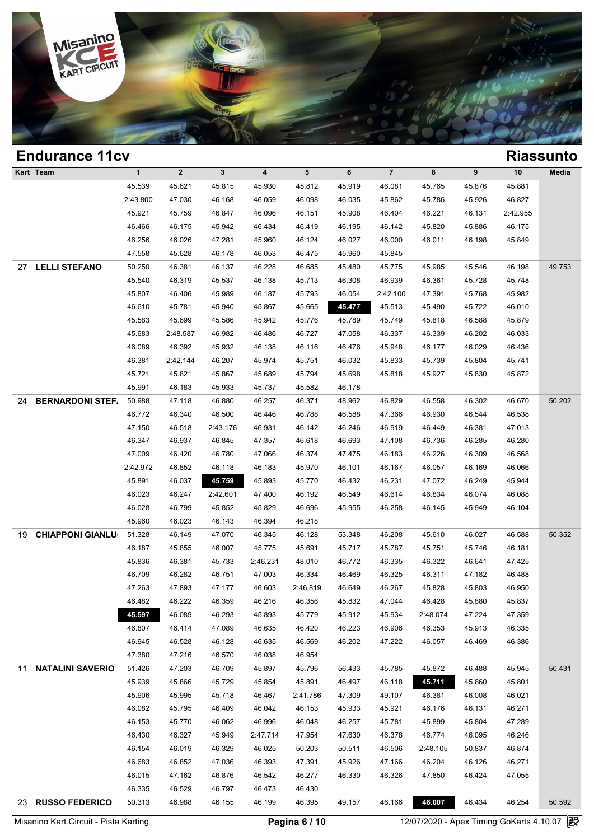

| <b>Endurance 11cv</b>         |              |              |              |          |          |        |                |          |        |          | <b>Riassunto</b> |
|-------------------------------|--------------|--------------|--------------|----------|----------|--------|----------------|----------|--------|----------|------------------|
| Kart Team                     | $\mathbf{1}$ | $\mathbf{2}$ | $\mathbf{3}$ | 4        | 5        | 6      | $\overline{7}$ | 8        | 9      | 10       | Media            |
|                               | 45.539       | 45.621       | 45.815       | 45.930   | 45.812   | 45.919 | 46.081         | 45.765   | 45.876 | 45.881   |                  |
|                               | 2:43.800     | 47.030       | 46.168       | 46.059   | 46.098   | 46.035 | 45.862         | 45.786   | 45.926 | 46.827   |                  |
|                               | 45.921       | 45.759       | 46.847       | 46.096   | 46.151   | 45.908 | 46.404         | 46.221   | 46.131 | 2:42.955 |                  |
|                               | 46.466       | 46.175       | 45.942       | 46.434   | 46.419   | 46.195 | 46.142         | 45.820   | 45.886 | 46.175   |                  |
|                               | 46.256       | 46.026       | 47.281       | 45.960   | 46.124   | 46.027 | 46.000         | 46.011   | 46.198 | 45.849   |                  |
|                               | 47.558       | 45.628       | 46.178       | 46.053   | 46.475   | 45.960 | 45.845         |          |        |          |                  |
| <b>LELLI STEFANO</b><br>27    | 50.250       | 46.381       | 46.137       | 46.228   | 46.685   | 45.480 | 45.775         | 45.985   | 45.546 | 46.198   | 49.753           |
|                               | 45.540       | 46.319       | 45.537       | 46.138   | 45.713   | 46.308 | 46.939         | 46.361   | 45.728 | 45.748   |                  |
|                               | 45.807       | 46.406       | 45.989       | 46.187   | 45.793   | 46.054 | 2:42.100       | 47.391   | 45.768 | 45.982   |                  |
|                               | 46.610       | 45.781       | 45.940       | 45.867   | 45.665   | 45.477 | 45.513         | 45.490   | 45.722 | 46.010   |                  |
|                               | 45.583       | 45.699       | 45.586       | 45.942   | 45.776   | 45.789 | 45.749         | 45.818   | 46.588 | 45.879   |                  |
|                               | 45.683       | 2:48.587     | 46.982       | 46.486   | 46.727   | 47.058 | 46.337         | 46.339   | 46.202 | 46.033   |                  |
|                               | 46.089       | 46.392       | 45.932       | 46.138   | 46.116   | 46.476 | 45.948         | 46.177   | 46.029 | 46.436   |                  |
|                               | 46.381       | 2:42.144     | 46.207       | 45.974   | 45.751   | 46.032 | 45.833         | 45.739   | 45.804 | 45.741   |                  |
|                               | 45.721       | 45.821       | 45.867       | 45.689   | 45.794   | 45.698 | 45.818         | 45.927   | 45.830 | 45.872   |                  |
|                               | 45.991       | 46.183       | 45.933       | 45.737   | 45.582   | 46.178 |                |          |        |          |                  |
| <b>BERNARDONI STEF</b><br>24  | 50.988       | 47.118       | 46.880       | 46.257   | 46.371   | 48.962 | 46.829         | 46.558   | 46.302 | 46.670   | 50.202           |
|                               | 46.772       | 46.340       | 46.500       | 46.446   | 46.788   | 46.588 | 47.366         | 46.930   | 46.544 | 46.538   |                  |
|                               | 47.150       | 46.518       | 2:43.176     | 46.931   | 46.142   | 46.246 | 46.919         | 46.449   | 46.381 | 47.013   |                  |
|                               | 46.347       | 46.937       | 46.845       | 47.357   | 46.618   | 46.693 | 47.108         | 46.736   | 46.285 | 46.280   |                  |
|                               | 47.009       | 46.420       | 46.780       | 47.066   | 46.374   | 47.475 | 46.183         | 46.226   | 46.309 | 46.568   |                  |
|                               | 2:42.972     | 46.852       | 46.118       | 46.183   | 45.970   | 46.101 | 46.167         | 46.057   | 46.169 | 46.066   |                  |
|                               | 45.891       | 46.037       | 45.759       | 45.893   | 45.770   | 46.432 | 46.231         | 47.072   | 46.249 | 45.944   |                  |
|                               | 46.023       | 46.247       | 2:42.601     | 47.400   | 46.192   | 46.549 | 46.614         | 46.834   | 46.074 | 46.088   |                  |
|                               | 46.028       | 46.799       | 45.852       | 45.829   | 46.696   | 45.955 | 46.258         | 46.145   | 45.949 | 46.104   |                  |
|                               | 45.960       | 46.023       | 46.143       | 46.394   | 46.218   |        |                |          |        |          |                  |
| <b>CHIAPPONI GIANLU</b><br>19 | 51.328       | 46.149       | 47.070       | 46.345   | 46.128   | 53.348 | 46.208         | 45.610   | 46.027 | 46.588   | 50.352           |
|                               | 46.187       | 45.855       | 46.007       | 45.775   | 45.691   | 45.717 | 45.787         | 45.751   | 45.746 | 46.181   |                  |
|                               | 45.836       | 46.381       | 45.733       | 2:46.231 | 48.010   | 46.772 | 46.335         | 46.322   | 46.641 | 47.425   |                  |
|                               | 46.709       | 46.282       | 46.751       | 47.003   | 46.334   | 46.469 | 46.325         | 46.311   | 47.182 | 46.488   |                  |
|                               | 47.263       | 47.893       | 47.177       | 46.603   | 2:46.819 | 46.649 | 46.267         | 45.828   | 45.803 | 46.950   |                  |
|                               | 46.482       | 46.222       | 46.359       | 46.216   | 46.356   | 45.832 | 47.044         | 46.428   | 45.880 | 45.837   |                  |
|                               | 45.597       | 46.089       | 46.293       | 45.893   | 45.779   | 45.912 | 45.934         | 2:48.074 | 47.224 | 47.359   |                  |
|                               | 46.807       | 46.414       | 47.089       | 46.635   | 46.420   | 46.223 | 46.906         | 46.353   | 45.913 | 46.335   |                  |
|                               | 46.945       | 46.528       | 46.128       | 46.635   | 46.569   | 46.202 | 47.222         | 46.057   | 46.469 | 46.386   |                  |
|                               | 47.380       | 47.216       | 46.570       | 46.038   | 46.954   |        |                |          |        |          |                  |
| <b>NATALINI SAVERIO</b><br>11 | 51.426       | 47.203       | 46.709       | 45.897   | 45.796   | 56.433 | 45.785         | 45.872   | 46.488 | 45.945   | 50.431           |
|                               | 45.939       | 45.866       | 45.729       | 45.854   | 45.891   | 46.497 | 46.118         | 45.711   | 45.860 | 45.801   |                  |
|                               | 45.906       | 45.995       | 45.718       | 46.467   | 2:41.786 | 47.309 | 49.107         | 46.381   | 46.008 | 46.021   |                  |
|                               | 46.082       | 45.795       | 46.409       | 46.042   | 46.153   | 45.933 | 45.921         | 46.176   | 46.131 | 46.271   |                  |
|                               | 46.153       | 45.770       | 46.062       | 46.996   | 46.048   | 46.257 | 45.781         | 45.899   | 45.804 | 47.289   |                  |
|                               | 46.430       | 46.327       | 45.949       | 2:47.714 | 47.954   | 47.630 | 46.378         | 46.774   | 46.095 | 46.246   |                  |
|                               | 46.154       | 46.019       | 46.329       | 46.025   | 50.203   | 50.511 | 46.506         | 2:48.105 | 50.837 | 46.874   |                  |
|                               | 46.683       | 46.852       | 47.036       | 46.393   | 47.391   | 45.926 | 47.166         | 46.204   | 46.126 | 46.271   |                  |
|                               | 46.015       | 47.162       | 46.876       | 46.542   | 46.277   | 46.330 | 46.326         | 47.850   | 46.424 | 47.055   |                  |
|                               | 46.335       | 46.529       | 46.797       | 46.473   | 46.430   |        |                |          |        |          |                  |
| 23 RUSSO FEDERICO             | 50.313       | 46.988       | 46.155       | 46.199   | 46.395   | 49.157 | 46.166         | 46.007   | 46.434 | 46.254   | 50.592           |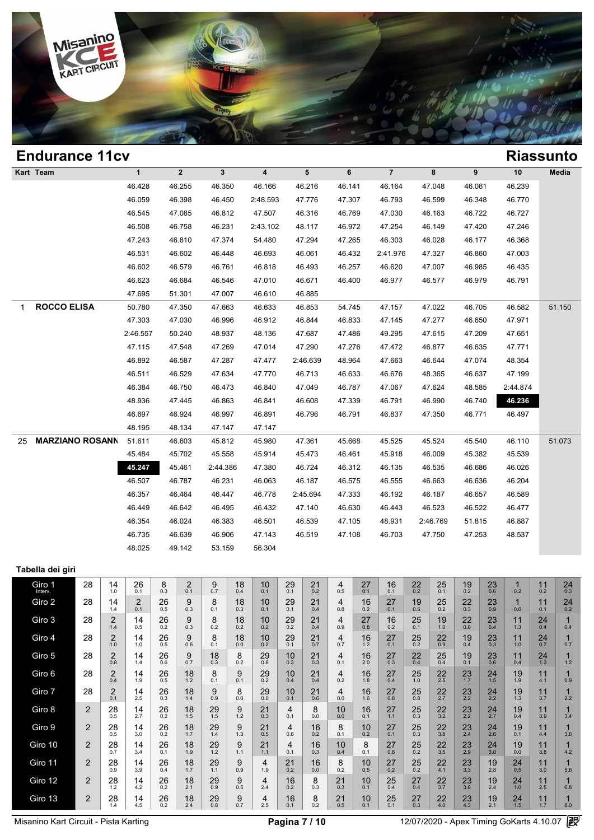

# **Endurance 11cv Riassunto Kart Team 1 2 3 4 5 6 7 8 9 10 Media 1**<br>
46.428 46.255 46.350 46.166 46.216 46.141 46.164 47.048 46.061 46.239<br>
46.050 46.209 46.450 2:48.592 47.775 47.297 46.792 46.590 46.348 46.239 1 2 3 4 5 6 7 8 9 10 Med<br>46.428 46.255 46.350 46.166 46.216 46.141 46.164 47.048 46.061 46.239<br>46.059 46.398 46.450 2:48.593 47.776 47.307 46.793 46.599 46.348 46.770<br>46.545 47.085 46.912 47.507 46.316 46.760 47.020 46.463 1 2 3 4 5 6 7 8 9 10 Med<br>46.428 46.255 46.350 46.166 46.216 46.141 46.164 47.048 46.061 46.239<br>46.059 46.398 46.450 2:48.593 47.776 47.307 46.793 46.599 46.348 46.770<br>46.545 47.085 46.812 47.507 46.316 46.769 47.030 46.163 46.428 46.255 46.350 46.166 46.216 46.141 46.164 47.048 46.061 46.239<br>46.059 46.398 46.450 2:48.593 47.776 47.307 46.793 46.599 46.348 46.770<br>46.545 47.085 46.812 47.507 46.316 46.769 47.030 46.163 46.722 46.727<br>46.508 46. 46.059 46.398 46.450 2:48.593 47.776 47.307 46.793 46.599 46.348 46.770<br>46.545 47.085 46.812 47.507 46.316 46.769 47.030 46.163 46.722 46.727<br>46.508 46.758 46.231 2:43.102 48.117 46.972 47.254 46.149 47.420 47.246<br>47.243 4 46.545 47.085 46.812 47.507 46.316 46.769 47.030 46.163 46.722 46.727<br>46.508 46.758 46.231 2:43.102 48.117 46.972 47.254 46.149 47.420 47.246<br>47.243 46.810 47.374 54.480 47.294 47.265 46.303 46.028 46.177 46.368<br>46.531 46. 46.508 46.758 46.231 2:43.102 48.117 46.972 47.254 46.149 47.420 47.246<br>47.243 46.810 47.374 54.480 47.294 47.265 46.303 46.028 46.177 46.368<br>46.531 46.602 46.448 46.693 46.061 46.432 2:41.976 47.327 46.860 47.003<br>46.602 4 47.243 46.810 47.374 54.480 47.294 47.265 46.303 46.028 46.177 46.368<br>46.531 46.602 46.448 46.693 46.061 46.432 2:41.976 47.327 46.860 47.003<br>46.602 46.579 46.761 46.818 46.493 46.257 46.620 47.007 46.985 46.435<br>46.623 46. 46.531 46.602 46.448 46.693 46.061 46.44<br>46.602 46.579 46.761 46.818 46.493 46.2<br>46.623 46.684 46.546 47.010 46.671 46.44<br>47.695 51.301 47.007 46.610 46.885 1 **ROCCO ELISA** 50.780 47.350 47.663 46.633 46.853 54.745 47.157 47.022 46.705 46.582 51.150 46.623 46.684 46.546 47.010 46.671 46.400 46.977 46.577 46.979 46.791<br>47.695 51.301 47.007 46.610 46.885<br>50.780 47.350 47.663 46.633 46.853 54.745 47.157 47.022 46.705 46.582 51.1<br>47.303 47.030 46.996 46.912 46.844 46.833 47.695 51.301 47.007 46.610 46.885<br>
50.780 47.350 47.663 46.633 46.853 54.745 47.157 47.022 46.705 46.582 51.1<br>
47.303 47.030 46.996 46.912 46.844 46.833 47.145 47.277 46.650 47.971<br>
2:46.557 50.240 48.937 48.136 47.687 47 47.303 47.350 47.663 46.633 46.853 54.745 47.157 47.022 46.705 46.582 51.1<br>47.303 47.030 46.996 46.912 46.844 46.833 47.145 47.277 46.650 47.971<br>2:46.557 50.240 48.937 48.136 47.687 47.486 49.295 47.615 47.209 47.651<br>47.11 47.303 47.030 46.996 46.912 46.844 46.833 47.145 47.277 46.650 47.971<br>
2:46.557 50.240 48.937 48.136 47.687 47.486 49.295 47.615 47.209 47.651<br>
47.115 47.548 47.269 47.014 47.290 47.276 47.472 46.877 46.635 47.771<br>
46.892 46.557 50.240 48.937 48.136 47.687 47.486 49.295 47.615 47.209 47.651<br>47.115 47.548 47.269 47.014 47.290 47.276 47.472 46.877 46.635 47.771<br>46.892 46.587 47.287 47.477 2:46.639 48.964 47.663 46.644 47.074 48.354<br>46.511 46 47.115 47.548 47.269 47.014 47.290 47.276 47.472 46.877 46.635 47.771<br>46.892 46.587 47.287 47.477 2:46.639 48.964 47.663 46.644 47.074 48.354<br>46.511 46.529 47.634 47.770 46.713 46.633 46.676 48.365 46.637 47.199<br>46.384 46.7 46.892 46.587 47.287 47.477 2:46.639 48.964 47.663 46.644 47.074 48.354<br>46.511 46.529 47.634 47.770 46.713 46.633 46.676 48.365 46.637 47.199<br>46.384 46.750 46.473 46.840 47.049 46.787 47.067 47.624 48.585 2:44.874<br>48.936 4 46.511 46.529 47.634 47.770 46.713 46.633 46.676 48.365 46.637 47.199<br>46.384 46.750 46.473 46.840 47.049 46.787 47.067 47.624 48.585 2:44.874<br>48.936 47.445 46.863 46.841 46.608 47.339 46.791 46.990 46.740 46.781<br>46.697 46. 46.384 46.750 46.473 46.840 47.0<br>48.936 47.445 46.863 46.841 46.6<br>46.697 46.924 46.997 46.891 46.79<br>48.195 48.134 47.147 47.147 25 **MARZIANO ROSANNA** 51.611 46.603 45.812 45.980 47.361 45.668 45.525 45.524 45.540 46.110 51.073 46.697 46.924 46.997 46.891 46.796 46.791 46.837 47.350 46.771 46.497<br>48.195 48.134 47.147 47.147<br>51.611 46.603 45.812 45.980 47.361 45.668 45.525 45.524 45.540 46.110 51.0<br>45.484 45.702 45.558 45.914 45.473 46.461 45.918 4 48.195 48.134 47.147 47.147<br>
51.611 46.603 45.812 45.980 47.361 45.668 45.525 45.524 45.540 46.110 51.0<br>
45.484 45.702 45.558 45.914 45.473 46.461 45.918 46.009 45.382 45.539<br>
45.247 45.461 2:44.386 47.380 46.724 46.312 46 46.603 45.812 45.980 47.361 45.668 45.525 45.524 45.540 46.110 51.0<br>45.484 45.702 45.558 45.914 45.473 46.461 45.918 46.009 45.382 45.539<br>45.247 45.461 2:44.386 47.380 46.724 46.312 46.135 46.535 46.686 46.026<br>46.507 46.78 46.464 46.787 46.464 46.447 46.778 46.464 46.522 46.464 46.357 46.464 46.447 46.778 2:45.694 47.333 46.187 46.487 46.523 46.523 46.464 46.447 46.778 2:45.694 47.333 46.187 46.523 46.523 46.442 46.447 46.787 46.447 46.778 2: 46.227 46.461 2:44.386 47.380 46.724 46.312 46.135 46.535 46.686 46.026<br>46.507 46.787 46.231 46.063 46.187 46.575 46.555 46.663 46.636 46.204<br>46.357 46.464 46.447 46.778 2:45.694 47.333 46.192 46.187 46.657 46.589<br>46.449 46 46.507 46.787 46.231 46.063 46.187 46.575 46.555 46.663 46.636 46.204<br>46.357 46.464 46.447 46.778 2:45.694 47.333 46.192 46.187 46.657 46.589<br>46.449 46.642 46.495 46.432 47.140 46.630 46.443 46.523 46.522 46.477<br>46.354 46.0 46.357 46.464 46.447 46.778 2:45.694 47.333 46.192 46.187 46.657 46.589<br>46.449 46.642 46.495 46.432 47.140 46.630 46.443 46.523 46.522 46.477<br>46.354 46.024 46.383 46.501 46.539 47.105 48.931 2:46.769 51.815 46.887<br>46.735 4 46.449 46.642 46.495 46.432 47.1<br>46.354 46.024 46.383 46.501 46.5:<br>46.735 46.639 46.906 47.143 46.5<br>48.025 49.142 53.159 56.304 **Tabella dei giri** Giro 1 28  $\begin{array}{|c|c|c|c|c|}\n\hline\n\text{I1} & 28 & 14 & 26 & 8 \\
\text{Interv.} & & & 1.0 & 0.1 & 0.3 \\
\hline\n\end{array}$  $\begin{array}{|c|c|c|c|c|}\hline 26 & 8 & 2 & 9 \ \hline 0.1 & 0.7 & 0.7 \ \hline \end{array}$  $\begin{array}{c|c|c|c|c} 2 & 9 & 18 & 10 \\ 0.7 & 0.4 & 0.1 \end{array}$  $\begin{array}{|c|c|c|c|c|}\n 18 & 10 & 29 & 21 \\
 \hline\n 0.4 & 0.1 & 0.1 & 0.2\n \end{array}$  $\begin{array}{c|c} 21 & 4 \\ 0.2 & 0.5 \end{array}$  $\begin{array}{|c|c|c|c|}\n 21 & 4 & 27 & 16 \\
 \hline\n0.2 & 0.5 & 0.1 & 0.1\n \end{array}$  $\begin{array}{c|c} 16 & 22 \\ 0.1 & 0.2 \end{array}$  $\begin{array}{|c|c|c|c|}\n 16 & 22 & 25 & 19 \\
 \hline\n 0.1 & 0.2 & 0.1 & 0.2\n \end{array}$  $19<sub>0.2</sub>$  $23 \t 1 \t 0.2$  $11$ <sub>0.2</sub>  $\begin{array}{|c|c|c|c|}\n1 & 11 & 24 \\
\hline\n0.2 & 0.3 & \n\end{array}$ Giro 2 28 14  $26$ <sub>0.1</sub> 26  $\begin{array}{c|c|c|c|c} 2 & 26 & 9 & 8 \ 0.1 & 0.5 & 0.3 & 0.1 \end{array}$  $\begin{array}{c|c|c|c|c} 9 & 8 & 18 & 10 \\ 0.3 & 0.1 & 0.3 & 0.1 \end{array}$  $\begin{array}{|c|c|c|c|c|}\n 18 & 10 & 29 & 21 \\
 \hline\n 0.3 & 0.1 & 0.1 & 0.4\n \end{array}$  $\begin{array}{c|c} 21 & 4 \\ 0.4 & 0.8 \end{array}$  $16 \atop 0.2$  $\begin{array}{c|c|c|c|c} 4 & 16 & 27 & 19 \\ 0.8 & 0.2 & 0.1 & 0.5 \end{array}$  $\begin{array}{|c|c|c|c|}\n 27 & 19 & 25 & 22 \\
 \hline\n 0.1 & 0.5 & 0.2 & 0.3\n \end{array}$  $\frac{22}{0.3}$  $^{23}_{0.9}$  $1 \t 11$  $\begin{array}{|c|c|c|c|}\n1 & 11 & 24 \\
\hline\n0.6 & 0.1 & 0.2\n\end{array}$ Giro 3 28  $28 \begin{array}{|c|c|} 2 & 14 \end{array}$  14  $\begin{array}{|c|c|c|c|c|}\n 2 & 14 & 26 & 9 \\
 \hline\n 1.4 & 0.5 & 0.2 & 0.3\n \end{array}$  $\begin{array}{c|c} 9 & 8 \\ 0.3 & 0.2 \end{array}$  $\begin{array}{c|c|c|c|c} 9 & 8 & 18 & 10 \\ 0.3 & 0.2 & 0.2 & 0.2 \end{array}$  $\begin{array}{|c|c|c|c|c|}\n 18 & 10 & 29 & 21 \\
 \hline\n 0.2 & 0.2 & 0.4 & \n \end{array}$  $\begin{array}{|c|c|c|}\n 21 & 4 \\
 \hline\n 0.4 & 0.9\n \end{array}$  $\begin{array}{|c|c|c|c|}\n 21 & 4 & 27 & 16 \\
 \hline\n 0.4 & 0.9 & 0.8 & 0.2\n \end{array}$  $\begin{array}{|c|c|c|c|c|}\n 27 & 16 & 25 & 19 \\
 \hline\n0.8 & 0.2 & 0.1 & 1.0\n \end{array}$  $19 \atop 1.0$  $22$ <sub>0.0</sub>  $23$ <sub>0.4</sub>  $11$ <sub>1.3</sub>  $24 \atop 0.4$  $\begin{array}{ccc} 24 & 1 \\ 0.4 & 0.4 \end{array}$ Giro 4 28  $\begin{array}{|c|c|c|c|}\n\hline\n28 & 2 & 14 \\
\hline\n1.0 & 1.0\n\end{array}$  $\begin{array}{c|c|c|c|c} 2 & 14 & 26 & 9 \ \hline 1.0 & 0.5 & 0.6 \end{array}$  $\begin{array}{c|c} 9 & 8 \\ 0.6 & 0.1 \end{array}$  $\begin{array}{c|c|c|c|c} 9 & 8 & 18 & 10 \\ 0.6 & 0.1 & 0.0 & 0.2 \end{array}$  $\begin{array}{|c|c|c|c|c|}\n 18 & 10 & 29 & 21 \\
 \hline\n 0.0 & 0.2 & 0.1 & 0.7\n \end{array}$  $\begin{array}{|c|c|c|c|c|}\n 29 & 21 & 4 & 16 \\
 \hline\n 0.7 & 0.7 & 1.2\n \end{array}$  $\begin{array}{|c|c|c|c|c|}\n 4 & 16 & 27 & 25 \\
 \hline\n0.7 & 1.2 & 0.1 & 0.2\n \end{array}$  $\begin{array}{|c|c|c|c|}\n 27 & 25 & 22 & 19 \\
 \hline\n0.1 & 0.2 & 0.9 & 0.4\n\end{array}$  $\begin{array}{|c|c|c|c|}\n 22 & 19 & 23 & 11 \\
 \hline\n 0.9 & 0.4 & 0.3 & 1.0\n \end{array}$  $\begin{array}{|c|c|c|c|c|}\n 23 & 11 & 24 & 1 \\
 \hline\n0.3 & 1.0 & 0.7 & 0.7\n \end{array}$  $24$  1<br>0.7 0.7 Giro 5 28  $\begin{array}{|c|c|c|c|}\n\hline\n28 & 2 & 14 \\
\hline\n0.8 & 1.4\n\end{array}$  $\begin{array}{c|c|c|c|c} 2 & 14 & 26 & 9 \ \hline 0.8 & 0.7 & \ \end{array}$  $\begin{array}{c|c|c|c|c} 26 & 9 & 18 & 8 \ 0.6 & 0.7 & 0.3 & 0.2 \end{array}$  $\begin{array}{c|c} 8 & 25 \\ 0.2 & 0.6 \end{array}$  $\begin{array}{|c|c|c|c|c|}\n 8 & 29 & 10 & 21 \\
 \hline\n0.2 & 0.6 & 0.3 & 0.3\n \end{array}$  $\begin{array}{|c|c|c|}\n 21 & 4 \\
 \hline\n 0.3 & 0.1\n \end{array}$  $16_{2.0}$  $\begin{array}{|c|c|c|c|c|}\n 4 & 16 & 27 & 22 \\
 \hline\n 0.1 & 2.0 & 0.3 & 0.4\n \end{array}$  $\begin{array}{|c|c|c|c|}\n 27 & 22 & 25 & 19 \\
 \hline\n0.3 & 0.4 & 0.4 & 0.1\n \end{array}$  $\begin{array}{|c|c|c|c|c|}\n 25 & 19 & 23 & 11 \\
 \hline\n0.4 & 0.1 & 0.6 & 0.4\n \end{array}$  $\begin{array}{|c|c|c|c|c|}\n 23 & 11 & 24 & 1 \\
 \hline\n0.6 & 0.4 & 1.3 & 1.2\n \end{array}$  $24$  1<br>1.3 1.2 Giro 6 28  $28 \begin{array}{|c|c|c|} 2 & 14 \ \hline 0.4 & 1.9 \end{array}$  $\begin{array}{|c|c|c|c|c|}\n 2 & 14 & 26 & 18 \\
 \hline\n0.4 & 1.9 & 0.5 & 1.2\n \end{array}$  $\begin{array}{c|c} 18 & 8 \\ 1.2 & 0.1 \end{array}$  $\begin{array}{|c|c|c|c|c|}\n 18 & 8 & 9 & 29 \\
 \hline\n 1.2 & 0.1 & 0.1 & 0.2\n \end{array}$  $\begin{array}{|c|c|c|c|c|}\n 9 & 29 & 10 & 21 \\
 \hline\n 0.1 & 0.2 & 0.4 & 0.4\n \end{array}$  $\begin{array}{|c|c|c|}\n 21 & 4 \\
 \hline\n 0.4 & 0.2\n \end{array}$  $16$ <sub>1.8</sub>  $^{27}_{0.4}$  $25$ <sub>1.0</sub>  $\begin{array}{|c|c|c|c|}\n 27 & 25 & 22 & 23 \\
 \hline\n0.4 & 1.0 & 2.5 & 1.7\n \end{array}$  $23 \atop 1.7$  $24$ <sub>1.5</sub>  $\begin{array}{|c|c|c|c|}\n19 & 11 \\
\hline\n19 & 41\n\end{array}$ 1.9 <sup>11</sup> 4.1 <sup>1</sup> 0.9 Giro 7 28  $2$   $\begin{array}{|c|c|c|c|}\n\hline\n2 & 2 & 14 \\
0.1 & 2.5 & \n\end{array}$  $\begin{array}{|c|c|c|c|c|}\n 2 & 14 & 26 & 18 \\
 \hline\n0.1 & 2.5 & 0.3 & 1.4\n \end{array}$  $18$ <br> $14$  $\begin{array}{c|c} 9 & 8 \\ 0.9 & 0.0 \end{array}$  $^{29}_{0.9}$  $\begin{array}{|c|c|c|c|c|}\n 8 & 29 & 10 & 21 \\
 \hline\n 0.0 & 0.1 & 0.6\n \end{array}$  $\begin{array}{c|c} 21 & 4 \\ 0.6 & 0.0 \end{array}$  $16 \over 16$  $\frac{27}{0.8}$  $25$ <sub>0.8</sub>  $\begin{array}{|c|c|c|c|}\n 27 & 25 & 22 & 23 \\
 \hline\n0.8 & 0.8 & 2.7 & 2.2\n \end{array}$  $\frac{23}{22}$   $\frac{24}{22}$  $\begin{array}{|c|c|c|c|c|}\n 23 & 24 & 19 & 11 & 1 \\
 2.2 & 2.2 & 1.3 & 3.7 & 2.2\n \end{array}$  $\begin{array}{c|c} 11 & 1 \\ 3.7 & 2.2 \end{array}$ Giro 8 2  $\begin{array}{|c|c|c|c|c|c|}\n\hline\n2 & 28 & 14 \\
\hline\n0.5 & 27 & 27\n\end{array}$  $\begin{array}{|c|c|c|c|c|}\n 28 & 14 & 26 \\
 \hline\n 0.5 & 2.7 & 0.2\n \end{array}$  $\begin{array}{|c|c|c|c|c|}\n 14 & 26 & 18 & 29 \\
 2.7 & 0.2 & 1.5 & 1.5\n \end{array}$  $29 \t 9 \t 1.5 \t 1.2$  $^{21}_{0.3}$  $\begin{array}{c|c|c|c|c} 9 & 21 & 4 & 8 \ 1.2 & 0.3 & 0.1 & 0.0 \end{array}$  $\begin{array}{c|c|c|c|c} 4 & 8 & 10 & 16 \ 0.1 & 0.0 & 0.0 & 0.1 \end{array}$  $\begin{array}{c|c} 16 & 27 \\ 0.1 & 1.1 \end{array}$  $25$ <sub>0.3</sub>  $\begin{array}{|c|c|c|c|}\n 27 & 25 & 22 & 23 \\
\hline\n & 0.3 & 3.2 & 2.2\n \end{array}$  $\begin{array}{|c|c|c|}\n\hline\n23 & 24 \\
\hline\n2.2 & 2.7\n\end{array}$  $\begin{array}{|c|c|c|c|c|}\n 23 & 24 & 19 & 11 \\
 \hline\n & 2.7 & 0.4 & 3.9\n \end{array}$  $\begin{array}{|c|c|c|c|c|}\n 1 & 1 & 1 \\
 \hline\n 0.4 & 3.9 & 3.4\n \end{array}$ Giro 9 2  $\begin{array}{|c|c|c|c|c|}\n\hline\n2 & 28 & 14 \\
\hline\n0.5 & 3.0\n\end{array}$  $\begin{array}{|c|c|c|c|c|}\n 28 & 14 & 26 & 18 \\
 \hline\n0.5 & 3.0 & 0.2 & 1.7\n \end{array}$  $18 \atop 1.7$  $\begin{array}{c|c} 29 & 9 \\ 1.4 & 1.3 \end{array}$  $21$ <sub>0.5</sub>  $\begin{array}{c|c|c|c|c} 9 & 21 & 4 & 16 \ \hline 1.3 & 0.5 & 0.6 & 0.2 \ \end{array}$  $\begin{array}{c|c} 16 & 8 \\ 0.2 & 0.1 \end{array}$  $10^{0.2}$  $\begin{array}{|c|c|c|c|c|}\n 8 & 10 & 27 & 25 \\
 \hline\n0.1 & 0.2 & 0.1 & 0.3\n \end{array}$  $\begin{array}{|c|c|c|c|}\n 27 & 25 & 22 & 23 \\
 \hline\n0.1 & 0.3 & 3.8 & 2.4\n \end{array}$  $\begin{array}{|c|c|c|}\n 23 & 24 \\
 \hline\n 2.4 & 2.6\n \end{array}$  $\begin{array}{|c|c|c|c|c|}\n 23 & 24 & 19 & 11 \\
 \hline\n 2.4 & 2.6 & 0.1 & 4.4\n \end{array}$  $\begin{array}{|c|c|c|c|}\n 10 & 11 & 1 \\
 \hline\n 0.1 & 4.4 & 3.6\n \end{array}$ Giro 10  $\begin{array}{|c|c|c|c|c|} \hline 2 & 28 & 28 \\ \hline 0.7 & & & \end{array}$  $\begin{array}{c|c} 14 & 26 \\ 34 & 0.1 \end{array}$  $\begin{array}{|c|c|c|c|c|}\n 14 & 26 & 18 & 29 & 9 \\
 \hline\n 3.4 & 0.1 & 1.9 & 1.2 & 1.1\n \end{array}$  $\begin{array}{|c|c|c|c|c|}\n 29 & 9 & 21 & 4 \\
 \hline\n & 1.1 & 1.1 & 0.1\n \end{array}$  $\begin{array}{|c|c|c|c|}\n 4 & 16 \\
 \hline\n 0.1 & 0.3\n \end{array}$  $\begin{array}{c|c|c|c|c} 4 & 16 & 10 & 8 \ 0.1 & 0.3 & 0.4 & 0.1 \end{array}$  $\begin{array}{|c|c|c|c|c|}\n 10 & 8 & 27 & 25 \\
 \hline\n0.4 & 0.1 & 0.6 & 0.2\n\end{array}$  $\begin{array}{|c|c|c|c|}\n 27 & 25 & 22 & 23 \\
 \hline\n0.6 & 0.2 & 3.5 & 2.9\n\end{array}$  $\begin{array}{|c|c|c|}\n\hline\n23 & 24 \\
\hline\n29 & 3.0\n\end{array}$  $\begin{array}{c|c|c|c} 23 & 24 & 19 & 11 \\ 2.9 & 3.0 & 0.0 & 3.8 \end{array}$  $\frac{11}{3.8}$  $\begin{array}{ccc} 11 & 1 \\ 3.8 & 4.2 \end{array}$ Giro 11 2  $\begin{array}{|c|c|c|c|}\n\hline\n2 & 28 & 14 \\
\hline\n0.9 & 3.9 & \n\end{array}$  $\begin{array}{|c|c|c|c|c|}\n 28 & 14 & 26 & 18 \\
 \hline\n0.9 & 3.9 & 0.4 & 1.7\n \end{array}$  $18$ <sub>1.7</sub>  $29$ <sub>1.1</sub>  $\begin{array}{c|c} 9 & 4 \\ 0.9 & 1.9 \end{array}$  $\begin{array}{c|c|c|c|c} 9 & 4 & 21 & 16 \ 0.9 & 1.9 & 0.2 & 0.0 \end{array}$  $\begin{array}{c|c} 16 & 8 \\ 0.0 & 0.2 \end{array}$  $\begin{array}{c|c|c|c|c} 16 & 8 & 10 & 27 \ 0.0 & 0.2 & 0.5 & 0.2 \end{array}$  $27 \n\n0.2 \n\n0.5 \n\n0.2$  $\begin{array}{|c|c|c|c|}\n 27 & 25 & 22 & 23 \\
 0.2 & 0.2 & 4.1 & 3.3\n \end{array}$  $\begin{array}{|c|c|c|}\n 23 & 19 \\
 3.3 & 2.8\n \end{array}$  $\begin{array}{|c|c|c|c|c|}\n 23 & 19 & 24 & 11 \\
 \hline\n 3.3 & 2.8 & 0.5 & 3.0\n \end{array}$  $11_{3.0}$  $\begin{array}{ccc} 11 & 1 \\ 3.0 & 5.6 \end{array}$ Giro 12 2  $\begin{array}{|c|c|c|c|c|}\n\hline\n2 & 28 & 14 \\
\hline\n1.2 & 4.2 & \end{array}$  $\begin{array}{|c|c|c|c|c|}\n 28 & 14 & 26 & 18 \\
 \hline\n & 4.2 & 0.2 & 2.1\n \end{array}$  $18^{2.1}$  $^{29}_{0.9}$  $\begin{array}{c|c} 9 & 4 \\ 0.5 & 2.4 \end{array}$  $\begin{array}{c|c|c|c|c} 9 & 4 & 16 & 8 \ 0.5 & 2.4 & 0.2 & 0.3 \end{array}$  $\begin{array}{|c|c|c|}\n 8 & 21 \\
 \hline\n 0.3 & 0.3\n \end{array}$  $\begin{array}{|c|c|c|c|c|}\n 8 & 21 & 10 & 25 \\
 \hline\n0.3 & 0.3 & 0.1 & 0.4\n \end{array}$  $\begin{array}{|c|c|c|}\n 25 & 27 \\
 \hline\n 0.4 & 0.4\n \end{array}$  $\begin{array}{|c|c|c|c|}\n 25 & 27 & 22 & 23 \\
 \hline\n0.4 & 0.4 & 3.7 & 3.8\n \end{array}$  $\begin{array}{c|c|c|c}\n 22 & 23 & 19 & 24 \\
 3.8 & 2.4 & 1.0\n \end{array}$  $\frac{24}{1.0}$  $24$  11 1<br>1.0 2.5 6.8  $1_{6.8}$ Giro 13 2  $\begin{array}{|c|c|c|c|c|}\n\hline\n2 & 28 & 14 \\
\hline\n14 & 45 & 2\n\end{array}$  $\begin{array}{|c|c|c|c|c|}\n 28 & 14 & 26 & 18 \\
 \hline\n & 4.5 & 0.2 & 2.4\n \end{array}$  $\begin{array}{|c|c|c|c|c|}\hline 26 & 18 & 29 & 9 \ \hline 0.2 & 2.4 & 0.8 & 0.7 \ \hline \end{array}$  $\begin{array}{c|c} 9 & 4 \\ 07 & 25 \end{array}$  $\begin{array}{c|c|c|c|c} 9 & 4 & 16 & 8 \ 0.7 & 2.5 & 0.1 & 0.2 \end{array}$  $\begin{array}{c|c} 8 & 21 \\ 0.2 & 0.5 \end{array}$  $\begin{array}{c|c|c|c|c} 8 & 21 & 10 & 25 \\ 0.5 & 0.1 & 0.1 \end{array}$  $25 \n\begin{array}{|c|c|}\n27 \\
03\n\end{array}$  $\begin{array}{|c|c|c|c|}\n 25 & 27 & 22 & 23 \\
 \hline\n0.1 & 0.3 & 4.0 & 4.3\n \end{array}$  $\begin{array}{|c|c|c|c|c|}\n 22 & 23 & 19 & 24 \\
 \hline\n 4.0 & 4.3 & 2.1 & 1.5\n \end{array}$  $\begin{array}{|c|c|c|c|}\n 24 & 11 \\
 \hline\n 15 & 17\n \end{array}$  $24$  11 1<br>1.5 1.7 8.0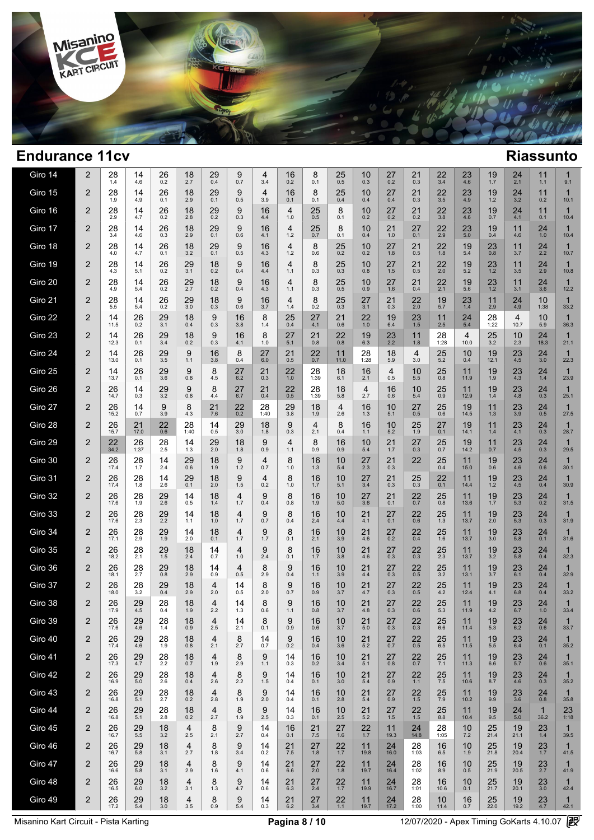

| Giro 15<br>26<br>18<br>29<br>9<br>2<br>28<br>14<br>4<br>16<br>8<br>25<br>10<br>27<br>21<br>$\frac{22}{3.5}$<br>23<br>19<br>$^{24}_{3.2}$<br>1.9<br>4.9<br>2.9<br>0.5<br>0.1<br>0.4<br>0.4<br>0.3<br>4.9<br>1.2<br>0.1<br>0.1<br>3.9<br>0.1<br>0.4<br>Giro 16<br>28<br>9<br>22<br>$\overline{2}$<br>26<br>18<br>29<br>16<br>25<br>8<br>27<br>21<br>23<br>19<br>24<br>14<br>4<br>10<br>2.9<br>0.2<br>0.3<br>0.5<br>0.1<br>0.2<br>3.8<br>4.1<br>4.7<br>0.2<br>2.8<br>4.4<br>1.0<br>0.2<br>0.2<br>4.6<br>0.7<br>Giro 17<br>$\overline{2}$<br>28<br>26<br>18<br>29<br>9<br>16<br>25<br>8<br>21<br>27<br>22<br>23<br>14<br>4<br>10<br>19<br>11<br>4.6<br>2.9<br>0.6<br>0.7<br>0.1<br>1.0<br>2.9<br>$5.0$<br>3.4<br>0.3<br>0.1<br>4.1<br>$1.2$<br>0.4<br>0.1<br>0.4<br>4.6<br>Giro 18<br>22<br>$\overline{2}$<br>28<br>26<br>18<br>$^{29}_{0.1}$<br>9<br>16<br>8<br>25<br>$27 \atop 1.8$<br>$^{23}_{0.8}$<br>14<br>4<br>10<br>21<br>19<br>11<br>$0.\overline{2}$<br>1.8<br>4.0<br>3.2<br>$1.2$<br>0.5<br>4.7<br>0.1<br>0.5<br>0.6<br>5.4<br>4.3<br>0.2<br>3.7<br>Giro 19<br>$\overline{2}$<br>$^{28}_{4.3}$<br>$^{26}_{0.2}$<br>$29_{3.1}$<br>18<br>9<br>16<br>8<br>$25$ <sub>0.3</sub><br>$27_{1.5}$<br>21<br>$22$<br>$2.0$<br>14<br>4<br>10<br>19<br>$^{23}_{1.2}$<br>11<br>0.4<br>0.5<br>5.2<br>5.1<br>0.2<br>1.1<br>0.3<br>4.4<br>0.8<br>3.5<br>Giro 20<br>28<br>22<br>$\overline{2}$<br>14<br>26<br>29<br>18<br>9<br>8<br>25<br>10<br>27<br>21<br>19<br>23<br>16<br>4<br>11<br>$1.2$<br>0.2<br>2.7<br>0.5<br>2.1<br>4.9<br>5.4<br>0.2<br>0.4<br>1.1<br>0.3<br>1.6<br>0.4<br>5.6<br>4.3<br>0.9<br>3.1<br>Giro 21<br>$\overline{2}$<br>28<br>26<br>29<br>18<br>9<br>8<br>$25$ <sub>0.3</sub><br>27<br>21<br>22<br>19<br>14<br>16<br>4<br>23<br>11<br>24<br>5.5<br>0.2<br>3.0<br>0.2<br>0.3<br>2.0<br>5.7<br>1.4<br>4.9<br>5.4<br>0.3<br>0.6<br>3.7<br>1.4<br>3.1<br>2.9<br>Giro 22<br>$\overline{2}$<br>14<br>26<br>29<br>18<br>9<br>8<br>27<br>22<br>19<br>$23 \atop 1.5$<br>28<br>16<br>25<br>21<br>11<br>24<br>4<br>5.4<br>0.2<br>3.1<br>0.3<br>0.4<br>4.1<br>0.6<br>$1.0$<br>2.5<br>1:22<br>10.7<br>11.5<br>0.4<br>1.4<br>6.4<br>3.8<br>Giro 23<br>$\overline{2}$<br>26<br>29<br>18<br>9<br>8<br>27<br>22<br>28<br>$25 \over 3.2$<br>14<br>16<br>21<br>19<br>$^{23}_{2.2}$<br>11<br>4<br>10<br>3.4<br>0.2<br>0.3<br>5.1<br>0.8<br>0.8<br>1:28<br>2.3<br>12.3<br>0.1<br>1.0<br>6.3<br>1.8<br>10.0<br>4.1<br>Giro 24<br>$\overline{2}$<br>26<br>29<br>9<br>8<br>27<br>21<br>22<br>28<br>25<br>19<br>23<br>14<br>16<br>11<br>18<br>4<br>10<br>0.7<br>5.2<br>$4.5\,$<br>13.0<br>0.1<br>3.5<br>1.1<br>3.8<br>0.4<br>6.0<br>0.5<br>11.0<br>1:28<br>5.9<br>3.0<br>0.4<br>12.1<br>Giro 25<br>$\overline{2}$<br>26<br>29<br>22<br>25<br>$^{23}_{4.3}$<br>14<br>9<br>8<br>27<br>21<br>28<br>18<br>16<br>10<br>11<br>19<br>4<br>13.7<br>0.1<br>3.6<br>0.8<br>4.5<br>6.2<br>0.3<br>1.0<br>1:39<br>6.1<br>2.1<br>0.5<br>5.5<br>0.8<br>11.9<br>1.9<br>Giro 26<br>$\overline{2}$<br>26<br>29<br>9<br>27<br>21<br>22<br>$28$ <sub>1:39</sub><br>18<br>25<br>23<br>14<br>8<br>4<br>16<br>10<br>11<br>19<br>3.2<br>4.8<br>14.7<br>0.3<br>0.8<br>4.4<br>6.7<br>0.4<br>0.5<br>5.8<br>2.7<br>0.6<br>5.4<br>0.9<br>12.9<br>1.4<br>Giro 27<br>$\overline{2}$<br>9<br>8<br>22<br>28<br>29<br>18<br>25<br>23<br>26<br>14<br>21<br>4<br>16<br>10<br>27<br>19<br>11<br>3.9<br>15.2<br>0.7<br>3.9<br>4.3<br>7.6<br>0.2<br>1:40<br>3.8<br>1.9<br>2.6<br>5.1<br>0.5<br>0.6<br>14.5<br>1.3<br>1.3 | 11<br>$\mathbf{1}$<br>0.2<br>10.1<br>11<br>$\mathbf{1}$<br>0.1<br>10.4<br>24<br>$\mathbf{1}$<br>1.0<br>10.4<br>$^{24}_{2.2}$<br>$\mathbf{1}$<br>10.7<br>$^{24}_{2.9}$<br>$\mathbf{1}$<br>10.8<br>24<br>$\mathbf{1}$<br>3.6<br>12.2<br>10<br>1<br>1:38<br>33.2<br>10<br>$\mathbf{1}$<br>5.9<br>36.3<br>$24$<br>18.3<br>1<br>21.1<br>24<br>$\mathbf{1}$<br>3.0<br>22.3<br>$\mathbf{1}$<br>24<br>1.4<br>23.9<br>24<br>1<br>0.3<br>25.1<br>$\mathbf{1}$<br>24<br>0.5<br>27.5<br>$^{24}_{0.3}$<br>$\mathbf{1}$ |
|--------------------------------------------------------------------------------------------------------------------------------------------------------------------------------------------------------------------------------------------------------------------------------------------------------------------------------------------------------------------------------------------------------------------------------------------------------------------------------------------------------------------------------------------------------------------------------------------------------------------------------------------------------------------------------------------------------------------------------------------------------------------------------------------------------------------------------------------------------------------------------------------------------------------------------------------------------------------------------------------------------------------------------------------------------------------------------------------------------------------------------------------------------------------------------------------------------------------------------------------------------------------------------------------------------------------------------------------------------------------------------------------------------------------------------------------------------------------------------------------------------------------------------------------------------------------------------------------------------------------------------------------------------------------------------------------------------------------------------------------------------------------------------------------------------------------------------------------------------------------------------------------------------------------------------------------------------------------------------------------------------------------------------------------------------------------------------------------------------------------------------------------------------------------------------------------------------------------------------------------------------------------------------------------------------------------------------------------------------------------------------------------------------------------------------------------------------------------------------------------------------------------------------------------------------------------------------------------------------------------------------------------------------------------------------------------------------------------------------------------------------------------------------------------------------------------------------------------------------------------------------------------------------------------------------------------------------------------------------------------------------------------------------------------------------------------------------------------------------------------------------------------------------------------------------------------------------------------------------------------------------------------------------------------------------------------------------------------------------------------------------------------------------------------------------------------------------------------|-----------------------------------------------------------------------------------------------------------------------------------------------------------------------------------------------------------------------------------------------------------------------------------------------------------------------------------------------------------------------------------------------------------------------------------------------------------------------------------------------------------|
|                                                                                                                                                                                                                                                                                                                                                                                                                                                                                                                                                                                                                                                                                                                                                                                                                                                                                                                                                                                                                                                                                                                                                                                                                                                                                                                                                                                                                                                                                                                                                                                                                                                                                                                                                                                                                                                                                                                                                                                                                                                                                                                                                                                                                                                                                                                                                                                                                                                                                                                                                                                                                                                                                                                                                                                                                                                                                                                                                                                                                                                                                                                                                                                                                                                                                                                                                                                                                                                                    |                                                                                                                                                                                                                                                                                                                                                                                                                                                                                                           |
|                                                                                                                                                                                                                                                                                                                                                                                                                                                                                                                                                                                                                                                                                                                                                                                                                                                                                                                                                                                                                                                                                                                                                                                                                                                                                                                                                                                                                                                                                                                                                                                                                                                                                                                                                                                                                                                                                                                                                                                                                                                                                                                                                                                                                                                                                                                                                                                                                                                                                                                                                                                                                                                                                                                                                                                                                                                                                                                                                                                                                                                                                                                                                                                                                                                                                                                                                                                                                                                                    |                                                                                                                                                                                                                                                                                                                                                                                                                                                                                                           |
|                                                                                                                                                                                                                                                                                                                                                                                                                                                                                                                                                                                                                                                                                                                                                                                                                                                                                                                                                                                                                                                                                                                                                                                                                                                                                                                                                                                                                                                                                                                                                                                                                                                                                                                                                                                                                                                                                                                                                                                                                                                                                                                                                                                                                                                                                                                                                                                                                                                                                                                                                                                                                                                                                                                                                                                                                                                                                                                                                                                                                                                                                                                                                                                                                                                                                                                                                                                                                                                                    |                                                                                                                                                                                                                                                                                                                                                                                                                                                                                                           |
|                                                                                                                                                                                                                                                                                                                                                                                                                                                                                                                                                                                                                                                                                                                                                                                                                                                                                                                                                                                                                                                                                                                                                                                                                                                                                                                                                                                                                                                                                                                                                                                                                                                                                                                                                                                                                                                                                                                                                                                                                                                                                                                                                                                                                                                                                                                                                                                                                                                                                                                                                                                                                                                                                                                                                                                                                                                                                                                                                                                                                                                                                                                                                                                                                                                                                                                                                                                                                                                                    |                                                                                                                                                                                                                                                                                                                                                                                                                                                                                                           |
|                                                                                                                                                                                                                                                                                                                                                                                                                                                                                                                                                                                                                                                                                                                                                                                                                                                                                                                                                                                                                                                                                                                                                                                                                                                                                                                                                                                                                                                                                                                                                                                                                                                                                                                                                                                                                                                                                                                                                                                                                                                                                                                                                                                                                                                                                                                                                                                                                                                                                                                                                                                                                                                                                                                                                                                                                                                                                                                                                                                                                                                                                                                                                                                                                                                                                                                                                                                                                                                                    |                                                                                                                                                                                                                                                                                                                                                                                                                                                                                                           |
|                                                                                                                                                                                                                                                                                                                                                                                                                                                                                                                                                                                                                                                                                                                                                                                                                                                                                                                                                                                                                                                                                                                                                                                                                                                                                                                                                                                                                                                                                                                                                                                                                                                                                                                                                                                                                                                                                                                                                                                                                                                                                                                                                                                                                                                                                                                                                                                                                                                                                                                                                                                                                                                                                                                                                                                                                                                                                                                                                                                                                                                                                                                                                                                                                                                                                                                                                                                                                                                                    |                                                                                                                                                                                                                                                                                                                                                                                                                                                                                                           |
|                                                                                                                                                                                                                                                                                                                                                                                                                                                                                                                                                                                                                                                                                                                                                                                                                                                                                                                                                                                                                                                                                                                                                                                                                                                                                                                                                                                                                                                                                                                                                                                                                                                                                                                                                                                                                                                                                                                                                                                                                                                                                                                                                                                                                                                                                                                                                                                                                                                                                                                                                                                                                                                                                                                                                                                                                                                                                                                                                                                                                                                                                                                                                                                                                                                                                                                                                                                                                                                                    |                                                                                                                                                                                                                                                                                                                                                                                                                                                                                                           |
|                                                                                                                                                                                                                                                                                                                                                                                                                                                                                                                                                                                                                                                                                                                                                                                                                                                                                                                                                                                                                                                                                                                                                                                                                                                                                                                                                                                                                                                                                                                                                                                                                                                                                                                                                                                                                                                                                                                                                                                                                                                                                                                                                                                                                                                                                                                                                                                                                                                                                                                                                                                                                                                                                                                                                                                                                                                                                                                                                                                                                                                                                                                                                                                                                                                                                                                                                                                                                                                                    |                                                                                                                                                                                                                                                                                                                                                                                                                                                                                                           |
|                                                                                                                                                                                                                                                                                                                                                                                                                                                                                                                                                                                                                                                                                                                                                                                                                                                                                                                                                                                                                                                                                                                                                                                                                                                                                                                                                                                                                                                                                                                                                                                                                                                                                                                                                                                                                                                                                                                                                                                                                                                                                                                                                                                                                                                                                                                                                                                                                                                                                                                                                                                                                                                                                                                                                                                                                                                                                                                                                                                                                                                                                                                                                                                                                                                                                                                                                                                                                                                                    |                                                                                                                                                                                                                                                                                                                                                                                                                                                                                                           |
|                                                                                                                                                                                                                                                                                                                                                                                                                                                                                                                                                                                                                                                                                                                                                                                                                                                                                                                                                                                                                                                                                                                                                                                                                                                                                                                                                                                                                                                                                                                                                                                                                                                                                                                                                                                                                                                                                                                                                                                                                                                                                                                                                                                                                                                                                                                                                                                                                                                                                                                                                                                                                                                                                                                                                                                                                                                                                                                                                                                                                                                                                                                                                                                                                                                                                                                                                                                                                                                                    |                                                                                                                                                                                                                                                                                                                                                                                                                                                                                                           |
|                                                                                                                                                                                                                                                                                                                                                                                                                                                                                                                                                                                                                                                                                                                                                                                                                                                                                                                                                                                                                                                                                                                                                                                                                                                                                                                                                                                                                                                                                                                                                                                                                                                                                                                                                                                                                                                                                                                                                                                                                                                                                                                                                                                                                                                                                                                                                                                                                                                                                                                                                                                                                                                                                                                                                                                                                                                                                                                                                                                                                                                                                                                                                                                                                                                                                                                                                                                                                                                                    |                                                                                                                                                                                                                                                                                                                                                                                                                                                                                                           |
|                                                                                                                                                                                                                                                                                                                                                                                                                                                                                                                                                                                                                                                                                                                                                                                                                                                                                                                                                                                                                                                                                                                                                                                                                                                                                                                                                                                                                                                                                                                                                                                                                                                                                                                                                                                                                                                                                                                                                                                                                                                                                                                                                                                                                                                                                                                                                                                                                                                                                                                                                                                                                                                                                                                                                                                                                                                                                                                                                                                                                                                                                                                                                                                                                                                                                                                                                                                                                                                                    |                                                                                                                                                                                                                                                                                                                                                                                                                                                                                                           |
|                                                                                                                                                                                                                                                                                                                                                                                                                                                                                                                                                                                                                                                                                                                                                                                                                                                                                                                                                                                                                                                                                                                                                                                                                                                                                                                                                                                                                                                                                                                                                                                                                                                                                                                                                                                                                                                                                                                                                                                                                                                                                                                                                                                                                                                                                                                                                                                                                                                                                                                                                                                                                                                                                                                                                                                                                                                                                                                                                                                                                                                                                                                                                                                                                                                                                                                                                                                                                                                                    |                                                                                                                                                                                                                                                                                                                                                                                                                                                                                                           |
| Giro 28<br>$\overline{2}$<br>26<br>28<br>8<br>27<br>$^{23}_{4.1}$<br>$21$<br>17.0<br>$^{22}_{0.6}$<br>14<br>29<br>18<br>9<br>4<br>16<br>10<br>25<br>19<br>11<br>1:40<br>0.5<br>3.0<br>0.3<br>2.1<br>1.9<br>0.1<br>15.7<br>1.8<br>0.4<br>1.1<br>5.2<br>14.1<br>1.4                                                                                                                                                                                                                                                                                                                                                                                                                                                                                                                                                                                                                                                                                                                                                                                                                                                                                                                                                                                                                                                                                                                                                                                                                                                                                                                                                                                                                                                                                                                                                                                                                                                                                                                                                                                                                                                                                                                                                                                                                                                                                                                                                                                                                                                                                                                                                                                                                                                                                                                                                                                                                                                                                                                                                                                                                                                                                                                                                                                                                                                                                                                                                                                                  | 28.7                                                                                                                                                                                                                                                                                                                                                                                                                                                                                                      |
| Giro 29<br>$\overline{2}$<br>$26$ <sub>1:37</sub><br>8<br>25<br>$22$<br>$34.2$<br>$^{28}_{2.5}$<br>14<br>$^{29}_{2.0}$<br>18<br>9<br>4<br>16<br>10<br>$21$<br>1.7<br>$27_{0.3}$<br>19<br>11<br>$^{23}_{4.5}$<br>1.3<br>1.8<br>0.9<br>1.1<br>0.9<br>0.9<br>0.7<br>14.2<br>0.7<br>5.4                                                                                                                                                                                                                                                                                                                                                                                                                                                                                                                                                                                                                                                                                                                                                                                                                                                                                                                                                                                                                                                                                                                                                                                                                                                                                                                                                                                                                                                                                                                                                                                                                                                                                                                                                                                                                                                                                                                                                                                                                                                                                                                                                                                                                                                                                                                                                                                                                                                                                                                                                                                                                                                                                                                                                                                                                                                                                                                                                                                                                                                                                                                                                                                | $^{24}_{0.3}$<br>1<br>29.5                                                                                                                                                                                                                                                                                                                                                                                                                                                                                |
| Giro 30<br>$\overline{2}$<br>$28$ <sub>1.7</sub><br>9<br>8<br>$^{21}_{0.3}$<br>22<br>25<br>$^{23}_{4.6}$<br>26<br>14<br>$^{29}_{0.6}$<br>18<br>16<br>10<br>27<br>11<br>19<br>4<br>17.4<br>2.4<br>1.2<br>0.4<br>1.9<br>0.7<br>1.0<br>1.3<br>5.4<br>2.3<br>15.0<br>0.6                                                                                                                                                                                                                                                                                                                                                                                                                                                                                                                                                                                                                                                                                                                                                                                                                                                                                                                                                                                                                                                                                                                                                                                                                                                                                                                                                                                                                                                                                                                                                                                                                                                                                                                                                                                                                                                                                                                                                                                                                                                                                                                                                                                                                                                                                                                                                                                                                                                                                                                                                                                                                                                                                                                                                                                                                                                                                                                                                                                                                                                                                                                                                                                               | $^{24}_{0.6}$<br>$\mathbf 1$<br>30.1                                                                                                                                                                                                                                                                                                                                                                                                                                                                      |
| 28<br>9<br>8<br>Giro 31<br>$\overline{2}$<br>26<br>14<br>$^{29}_{0.1}$<br>18<br>16<br>27<br>21<br>25<br>22<br>19<br>$^{23}_{4.5}$<br>10<br>11<br>4<br>0.1<br>0.3<br>17.4<br>1.8<br>2.6<br>2.0<br>1.5<br>5.1<br>0.3<br>14.4<br>1.2<br>0.2<br>1.0<br>1.7<br>3.4                                                                                                                                                                                                                                                                                                                                                                                                                                                                                                                                                                                                                                                                                                                                                                                                                                                                                                                                                                                                                                                                                                                                                                                                                                                                                                                                                                                                                                                                                                                                                                                                                                                                                                                                                                                                                                                                                                                                                                                                                                                                                                                                                                                                                                                                                                                                                                                                                                                                                                                                                                                                                                                                                                                                                                                                                                                                                                                                                                                                                                                                                                                                                                                                      | $\mathbf{1}$<br>24<br>0.4<br>30.9                                                                                                                                                                                                                                                                                                                                                                                                                                                                         |
| Giro 32<br>$\overline{2}$<br>26<br>$^{28}_{1.9}$<br>$^{29}_{2.6}$<br>18<br>9<br>8<br>16<br>21<br>$22$<br>0.7<br>$25$ <sub>0.8</sub><br>19<br>$23 \atop 5.3$<br>14<br>4<br>10<br>27<br>11<br>0.1<br>$1.\overline{7}$<br>0.5<br>17.6<br>$1.4$<br>1.7<br>0.4<br>1.9<br>5.0<br>13.6<br>0.8<br>3.6                                                                                                                                                                                                                                                                                                                                                                                                                                                                                                                                                                                                                                                                                                                                                                                                                                                                                                                                                                                                                                                                                                                                                                                                                                                                                                                                                                                                                                                                                                                                                                                                                                                                                                                                                                                                                                                                                                                                                                                                                                                                                                                                                                                                                                                                                                                                                                                                                                                                                                                                                                                                                                                                                                                                                                                                                                                                                                                                                                                                                                                                                                                                                                      | $\mathbf{1}$<br>$^{24}_{0.2}$<br>31.5                                                                                                                                                                                                                                                                                                                                                                                                                                                                     |
| Giro 33<br>$\overline{2}$<br>$28$ <sub>2.3</sub><br>$^{29}_{2.2}$<br>18<br>9<br>8<br>16<br>21<br>$27_{0.1}$<br>$^{22}_{0.6}$<br>$25$ <sub>1.3</sub><br>19<br>$23 \atop 5.3$<br>$^{26}_{17.6}$<br>14<br>4<br>10<br>11<br>2.0<br>0.7<br>2.4<br>4.4<br>13.7<br>1.1<br>$1.0$<br>1.7<br>4.1<br>0.4                                                                                                                                                                                                                                                                                                                                                                                                                                                                                                                                                                                                                                                                                                                                                                                                                                                                                                                                                                                                                                                                                                                                                                                                                                                                                                                                                                                                                                                                                                                                                                                                                                                                                                                                                                                                                                                                                                                                                                                                                                                                                                                                                                                                                                                                                                                                                                                                                                                                                                                                                                                                                                                                                                                                                                                                                                                                                                                                                                                                                                                                                                                                                                      | $\mathbf{1}$<br>$^{24}_{0.3}$<br>31.9                                                                                                                                                                                                                                                                                                                                                                                                                                                                     |
| 25<br>Giro 34<br>$\overline{2}$<br>26<br>28<br>29<br>18<br>9<br>8<br>16<br>21<br>27<br>22<br>19<br>23<br>14<br>4<br>10<br>11<br>5.8<br>2.9<br>0.4<br>1.6<br>17.1<br>1.9<br>2.0<br>0.1<br>1.7<br>1.7<br>0.1<br>2.1<br>3.9<br>0.2<br>13.7<br>3.0<br>4.6                                                                                                                                                                                                                                                                                                                                                                                                                                                                                                                                                                                                                                                                                                                                                                                                                                                                                                                                                                                                                                                                                                                                                                                                                                                                                                                                                                                                                                                                                                                                                                                                                                                                                                                                                                                                                                                                                                                                                                                                                                                                                                                                                                                                                                                                                                                                                                                                                                                                                                                                                                                                                                                                                                                                                                                                                                                                                                                                                                                                                                                                                                                                                                                                              | 24<br>$\mathbf{1}$<br>0.1<br>31.6                                                                                                                                                                                                                                                                                                                                                                                                                                                                         |
| 8<br>Giro 35<br>$\overline{2}$<br>26<br>28<br>29<br>18<br>9<br>16<br>21<br>22<br>$25$ <sub>2.3</sub><br>19<br>$23 \over 5.8$<br>14<br>4<br>10<br>27<br>11<br>0.3<br>18.2<br>2.1<br>1.5<br>2.4<br>0.7<br>0.1<br>3.8<br>0.3<br>13.7<br>3.2<br>$1.0$<br>2.4<br>1.7<br>4.6                                                                                                                                                                                                                                                                                                                                                                                                                                                                                                                                                                                                                                                                                                                                                                                                                                                                                                                                                                                                                                                                                                                                                                                                                                                                                                                                                                                                                                                                                                                                                                                                                                                                                                                                                                                                                                                                                                                                                                                                                                                                                                                                                                                                                                                                                                                                                                                                                                                                                                                                                                                                                                                                                                                                                                                                                                                                                                                                                                                                                                                                                                                                                                                             | $^{24}_{0.4}$<br>$\mathbf{1}$<br>32.3                                                                                                                                                                                                                                                                                                                                                                                                                                                                     |
| Giro 36<br>$\overline{2}$<br>26<br>28<br>29<br>18<br>8<br>9<br>16<br>21<br>27<br>22<br>25<br>19<br>$23$ <sub>6.1</sub><br>14<br>4<br>10<br>11<br>2.7<br>0.8<br>0.5<br>3.2<br>3.7<br>18.1<br>2.9<br>0.9<br>0.5<br>2.9<br>0.4<br>1.1<br>3.9<br>4.4<br>0.3<br>13.1                                                                                                                                                                                                                                                                                                                                                                                                                                                                                                                                                                                                                                                                                                                                                                                                                                                                                                                                                                                                                                                                                                                                                                                                                                                                                                                                                                                                                                                                                                                                                                                                                                                                                                                                                                                                                                                                                                                                                                                                                                                                                                                                                                                                                                                                                                                                                                                                                                                                                                                                                                                                                                                                                                                                                                                                                                                                                                                                                                                                                                                                                                                                                                                                    | $^{24}_{0.4}$<br>$\mathbf{1}$<br>32.9                                                                                                                                                                                                                                                                                                                                                                                                                                                                     |
| Giro 37<br>$\overline{2}$<br>$^{28}_{3.2}$<br>29<br>18<br>8<br>9<br>16<br>27<br>22<br>$25$<br>4.2<br>19<br>26<br>10<br>21<br>$^{23}_{6.8}$<br>4<br>14<br>11<br>0.4<br>2.9<br>0.7<br>3.7<br>0.3<br>0.5<br>18.0<br>2.0<br>0.5<br>2.0<br>0.9<br>4.7<br>12.4<br>4.1                                                                                                                                                                                                                                                                                                                                                                                                                                                                                                                                                                                                                                                                                                                                                                                                                                                                                                                                                                                                                                                                                                                                                                                                                                                                                                                                                                                                                                                                                                                                                                                                                                                                                                                                                                                                                                                                                                                                                                                                                                                                                                                                                                                                                                                                                                                                                                                                                                                                                                                                                                                                                                                                                                                                                                                                                                                                                                                                                                                                                                                                                                                                                                                                    | $^{24}_{0.4}$<br>$\mathbf{1}$<br>33.2                                                                                                                                                                                                                                                                                                                                                                                                                                                                     |
| Giro 38<br>29<br>9<br>$\overline{2}$<br>26<br>28<br>18<br>8<br>16<br>10<br>21<br>27<br>22<br>25<br>19<br>23<br>4<br>14<br>11<br>17.9<br>4.5<br>1.9<br>2.2<br>1.1<br>0.8<br>3.7<br>0.6<br>5.3<br>6.7<br>0.4<br>1.3<br>0.6<br>4.8<br>0.3<br>11.9<br>4.2                                                                                                                                                                                                                                                                                                                                                                                                                                                                                                                                                                                                                                                                                                                                                                                                                                                                                                                                                                                                                                                                                                                                                                                                                                                                                                                                                                                                                                                                                                                                                                                                                                                                                                                                                                                                                                                                                                                                                                                                                                                                                                                                                                                                                                                                                                                                                                                                                                                                                                                                                                                                                                                                                                                                                                                                                                                                                                                                                                                                                                                                                                                                                                                                              | 24<br>1<br>1.0<br>33.4                                                                                                                                                                                                                                                                                                                                                                                                                                                                                    |
| Giro 39<br>$\frac{22}{0.3}$<br>$^{29}_{4.6}$<br>11<br>2<br>26<br>$\frac{10}{3.7}$<br>$21$<br>5.0<br>$27_{0.3}$<br>$25$ <sub>6.6</sub><br>28<br>$^{18}_{0.9}$<br>16<br>14<br>8<br>9<br>19<br>$^{23}_{6.2}$<br>4<br>2.5<br>0.6<br>17.6<br>$1.4$<br>2.1<br>0.1<br>0.9<br>11.4<br>5.3                                                                                                                                                                                                                                                                                                                                                                                                                                                                                                                                                                                                                                                                                                                                                                                                                                                                                                                                                                                                                                                                                                                                                                                                                                                                                                                                                                                                                                                                                                                                                                                                                                                                                                                                                                                                                                                                                                                                                                                                                                                                                                                                                                                                                                                                                                                                                                                                                                                                                                                                                                                                                                                                                                                                                                                                                                                                                                                                                                                                                                                                                                                                                                                  | $^{24}_{0.6}$<br>33.7                                                                                                                                                                                                                                                                                                                                                                                                                                                                                     |
| Giro 40<br>$\overline{2}$<br>$^{29}_{4.6}$<br>28<br>8<br>9<br>21<br>27<br>22<br>25<br>19<br>23<br>26<br>18<br>4<br>14<br>16<br>10<br>11<br>0.2<br>0.5<br>17.4<br>1.9<br>0.8<br>2.1<br>2.7<br>0.7<br>0.4<br>3.6<br>5.2<br>0.7<br>6.5<br>11.5<br>5.5<br>6.4                                                                                                                                                                                                                                                                                                                                                                                                                                                                                                                                                                                                                                                                                                                                                                                                                                                                                                                                                                                                                                                                                                                                                                                                                                                                                                                                                                                                                                                                                                                                                                                                                                                                                                                                                                                                                                                                                                                                                                                                                                                                                                                                                                                                                                                                                                                                                                                                                                                                                                                                                                                                                                                                                                                                                                                                                                                                                                                                                                                                                                                                                                                                                                                                          | $^{24}_{0.1}$<br>1<br>35.2                                                                                                                                                                                                                                                                                                                                                                                                                                                                                |
| Giro 41<br>$\overline{2}$<br>8<br>9<br>14<br>25<br>26<br>29<br>28<br>18<br>4<br>16<br>10<br>21<br>27<br>22<br>11<br>19<br>23<br>17.3<br>4.7<br>2.2<br>1.9<br>1.1<br>0.3<br>0.2<br>0.8<br>0.7<br>7.1<br>11.3<br>5.7<br>0.7<br>2.9<br>3.4<br>5.1<br>6.6                                                                                                                                                                                                                                                                                                                                                                                                                                                                                                                                                                                                                                                                                                                                                                                                                                                                                                                                                                                                                                                                                                                                                                                                                                                                                                                                                                                                                                                                                                                                                                                                                                                                                                                                                                                                                                                                                                                                                                                                                                                                                                                                                                                                                                                                                                                                                                                                                                                                                                                                                                                                                                                                                                                                                                                                                                                                                                                                                                                                                                                                                                                                                                                                              | $\mathbf{1}$<br>24<br>0.6<br>35.1                                                                                                                                                                                                                                                                                                                                                                                                                                                                         |
| Giro 42<br>$\overline{2}$<br>28<br>8<br>9<br>26<br>29<br>18<br>4<br>14<br>16<br>10<br>21<br>27<br>22<br>$\frac{25}{7.5}$<br>11<br>19<br>$^{23}_{4.6}$<br>2.6<br>5.0<br>2.2<br>1.5<br>0.4<br>3.0<br>0.9<br>8.7<br>16.9<br>2.6<br>0.4<br>0.1<br>5.4<br>1.1<br>10.6                                                                                                                                                                                                                                                                                                                                                                                                                                                                                                                                                                                                                                                                                                                                                                                                                                                                                                                                                                                                                                                                                                                                                                                                                                                                                                                                                                                                                                                                                                                                                                                                                                                                                                                                                                                                                                                                                                                                                                                                                                                                                                                                                                                                                                                                                                                                                                                                                                                                                                                                                                                                                                                                                                                                                                                                                                                                                                                                                                                                                                                                                                                                                                                                   | $^{24}_{0.3}$<br>1<br>35.2                                                                                                                                                                                                                                                                                                                                                                                                                                                                                |
| Giro 43<br>$\overline{2}$<br>8<br>9<br>26<br>29<br>28<br>$18_{0.2}$<br>14<br>16<br>21<br>27<br>$22 \atop 1.5$<br>$\frac{25}{7.9}$<br>19<br>$^{23}_{3.6}$<br>4<br>10<br>11<br>2.8<br>2.0<br>2.8<br>0.9<br>16.8<br>5.1<br>2.7<br>1.9<br>0.4<br>0.1<br>5.4<br>10.2<br>9.9                                                                                                                                                                                                                                                                                                                                                                                                                                                                                                                                                                                                                                                                                                                                                                                                                                                                                                                                                                                                                                                                                                                                                                                                                                                                                                                                                                                                                                                                                                                                                                                                                                                                                                                                                                                                                                                                                                                                                                                                                                                                                                                                                                                                                                                                                                                                                                                                                                                                                                                                                                                                                                                                                                                                                                                                                                                                                                                                                                                                                                                                                                                                                                                             | $^{24}_{0.8}$<br>1<br>35.8                                                                                                                                                                                                                                                                                                                                                                                                                                                                                |
| Giro 44<br>2<br>29<br>28<br>8<br>9<br>$^{24}_{\,5.0}$<br>26<br>$18_{0.2}$<br>4<br>14<br>16<br>10<br>21<br>27<br>$22 \atop 1.5$<br>$25 \over 8.8$<br>11<br>19<br>2.5<br>2.7<br>2.5<br>1.5<br>16.8<br>5.1<br>2.8<br>1.9<br>0.3<br>0.1<br>5.2<br>10.4<br>9.5                                                                                                                                                                                                                                                                                                                                                                                                                                                                                                                                                                                                                                                                                                                                                                                                                                                                                                                                                                                                                                                                                                                                                                                                                                                                                                                                                                                                                                                                                                                                                                                                                                                                                                                                                                                                                                                                                                                                                                                                                                                                                                                                                                                                                                                                                                                                                                                                                                                                                                                                                                                                                                                                                                                                                                                                                                                                                                                                                                                                                                                                                                                                                                                                          | $\mathbf{1}$<br>23<br>36.2<br>1:18                                                                                                                                                                                                                                                                                                                                                                                                                                                                        |
| Giro 45<br>$\overline{2}$<br>29<br>8<br>9<br>14<br>25<br>26<br>18<br>4<br>16<br>21<br>27<br>22<br>11<br>24<br>28<br>10<br>19<br>14.8<br>5.5<br>2.5<br>2.1<br>2.7<br>$7.5$<br>16.7<br>3.2<br>0.4<br>0.1<br>1.6<br>1.7<br>19.3<br>1:05<br>7.2<br>21.4<br>21.1                                                                                                                                                                                                                                                                                                                                                                                                                                                                                                                                                                                                                                                                                                                                                                                                                                                                                                                                                                                                                                                                                                                                                                                                                                                                                                                                                                                                                                                                                                                                                                                                                                                                                                                                                                                                                                                                                                                                                                                                                                                                                                                                                                                                                                                                                                                                                                                                                                                                                                                                                                                                                                                                                                                                                                                                                                                                                                                                                                                                                                                                                                                                                                                                        | 23<br>1<br>$1.4$<br>39.5                                                                                                                                                                                                                                                                                                                                                                                                                                                                                  |
| $\overline{2}$<br>Giro 46<br>29<br>18<br>8<br>9<br>21<br>$24 \atop 16.0$<br>25<br>$26$<br>16.7<br>4<br>14<br>$27 \atop 1.8$<br>$22 \atop 1.7$<br>11<br>$28$ <sub>1:03</sub><br>10<br>$19_{20.4}$<br>16<br>$5.\overline{8}$<br>0.2<br>2.7<br>1.8<br>$7.5\,$<br>3.4<br>19.8<br>6.5<br>21.8<br>3.1<br>1.9                                                                                                                                                                                                                                                                                                                                                                                                                                                                                                                                                                                                                                                                                                                                                                                                                                                                                                                                                                                                                                                                                                                                                                                                                                                                                                                                                                                                                                                                                                                                                                                                                                                                                                                                                                                                                                                                                                                                                                                                                                                                                                                                                                                                                                                                                                                                                                                                                                                                                                                                                                                                                                                                                                                                                                                                                                                                                                                                                                                                                                                                                                                                                             | $23 \atop 1.7$<br>1<br>41.5                                                                                                                                                                                                                                                                                                                                                                                                                                                                               |
| Giro 47<br>$\overline{2}$<br>8<br>9<br>21<br>27<br>25<br>29<br>18<br>4<br>14<br>22<br>$24$<br>16.4<br>28<br>10<br>19<br>26<br>11<br>16<br>2.0<br>1.8<br>1:02<br>5.8<br>20.5<br>2.9<br>1.6<br>4.1<br>16.6<br>0.6<br>6.6<br>19.7<br>8.9<br>0.5<br>21.9<br>3.1                                                                                                                                                                                                                                                                                                                                                                                                                                                                                                                                                                                                                                                                                                                                                                                                                                                                                                                                                                                                                                                                                                                                                                                                                                                                                                                                                                                                                                                                                                                                                                                                                                                                                                                                                                                                                                                                                                                                                                                                                                                                                                                                                                                                                                                                                                                                                                                                                                                                                                                                                                                                                                                                                                                                                                                                                                                                                                                                                                                                                                                                                                                                                                                                        | $\frac{23}{2.7}$<br>1<br>41.9                                                                                                                                                                                                                                                                                                                                                                                                                                                                             |
| Giro 48<br>$\overline{2}$<br>29<br>18<br>8<br>9<br>14<br>21<br>27<br>22<br>28<br>25<br>26<br>4<br>11<br>24<br>16<br>10<br>19<br>2.4<br>6.0<br>3.2<br>1.3<br>4.7<br>0.6<br>6.3<br>$1.7$<br>19.9<br>1:01<br>21.7<br>20.1<br>16.5<br>3.1<br>16.7<br>10.6<br>0.1                                                                                                                                                                                                                                                                                                                                                                                                                                                                                                                                                                                                                                                                                                                                                                                                                                                                                                                                                                                                                                                                                                                                                                                                                                                                                                                                                                                                                                                                                                                                                                                                                                                                                                                                                                                                                                                                                                                                                                                                                                                                                                                                                                                                                                                                                                                                                                                                                                                                                                                                                                                                                                                                                                                                                                                                                                                                                                                                                                                                                                                                                                                                                                                                       | 23<br>$\mathbf{1}$<br>3.0<br>42.4                                                                                                                                                                                                                                                                                                                                                                                                                                                                         |
| Giro 49<br>$\overline{2}$<br>29<br>18<br>8<br>9<br>14<br>21<br>27<br>25<br>26<br>4<br>22<br>11<br>24<br>28<br>10<br>16<br>19<br>$5.4\,$<br>0.9<br>$5.4\,$<br>3.4<br>1:00<br>22.0<br>19.2<br>17.2<br>3.0<br>3.5<br>0.3<br>6.2<br>1.1<br>19.7<br>17.2<br>11.4<br>0.7                                                                                                                                                                                                                                                                                                                                                                                                                                                                                                                                                                                                                                                                                                                                                                                                                                                                                                                                                                                                                                                                                                                                                                                                                                                                                                                                                                                                                                                                                                                                                                                                                                                                                                                                                                                                                                                                                                                                                                                                                                                                                                                                                                                                                                                                                                                                                                                                                                                                                                                                                                                                                                                                                                                                                                                                                                                                                                                                                                                                                                                                                                                                                                                                 | 23<br>$\mathbf{1}$<br>4.7<br>42.1                                                                                                                                                                                                                                                                                                                                                                                                                                                                         |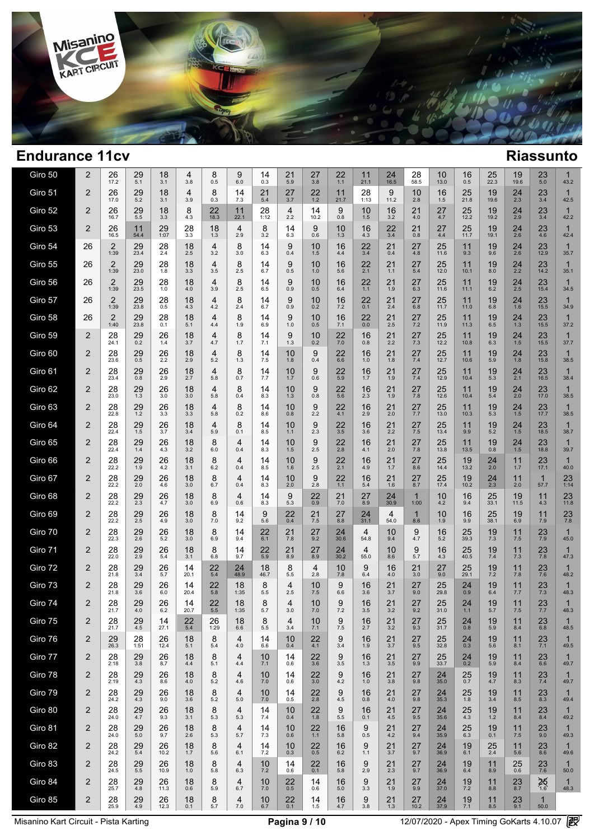

| Giro 50 | 2              | 26<br>17.2             | 29<br>5.1              | 18<br>3.1     | 4<br>3.8              | 8<br>0.5              | 9<br>6.0              | 14<br>0.3       | 21<br>5.9             | 27<br>3.8           | 22<br>1.1        | 11<br>21.1      | 24<br>16.5          | 28<br>58.5          | 10<br>13.0        | 16<br>0.5            | 25<br>22.3    | 19<br>19.6     | 23<br>5.0            | 1<br>43.2            |  |
|---------|----------------|------------------------|------------------------|---------------|-----------------------|-----------------------|-----------------------|-----------------|-----------------------|---------------------|------------------|-----------------|---------------------|---------------------|-------------------|----------------------|---------------|----------------|----------------------|----------------------|--|
| Giro 51 | $\overline{2}$ | 26<br>17.0             | 29<br>5.2              | 18<br>3.1     | $\overline{4}$<br>3.9 | 8<br>0.3              | 14<br>7.3             | 21<br>5.4       | 27<br>3.7             | 22<br>1.2           | 11<br>21.7       | 28<br>1:13      | 9<br>11.2           | 10<br>2.8           | 16<br>1.5         | 25<br>21.8           | 19<br>19.6    | $^{24}_{2.3}$  | 23<br>3.4            | $\mathbf{1}$<br>42.5 |  |
| Giro 52 | 2              | 26<br>16.7             | 29<br>5.5              | 18<br>3.3     | 8<br>4.3              | 22<br>18.3            | 11<br>22.1            | 28<br>1:12      | $\overline{4}$<br>2.2 | 14<br>10.2          | 9<br>0.8         | 10<br>1.5       | 16<br>3.2           | 21<br>4.0           | 27<br>4.7         | 25<br>12.2           | 19<br>19.2    | 24<br>2.9      | 23<br>3.4            | $\mathbf{1}$<br>42.2 |  |
| Giro 53 | 2              | 26<br>16.5             | 11<br>54.4             | 29<br>1:07    | 28<br>3.3             | 18<br>1.3             | $\overline{4}$<br>2.9 | 8<br>3.2        | 14<br>6.3             | 9<br>0.6            | 10<br>1.3        | 16<br>4.3       | 22<br>3.4           | 21<br>0.8           | 27<br>4.4         | 25<br>11.7           | 19<br>19.1    | 24<br>2.6      | 23<br>4.6            | $\mathbf{1}$<br>42.4 |  |
| Giro 54 | 26             | $\overline{2}$<br>1:39 | 29<br>23.4             | 28<br>2.4     | 18<br>2.5             | $\overline{4}$<br>3.2 | 8<br>3.0              | 14<br>6.3       | 9<br>0.4              | 10<br>1.5           | 16<br>4.4        | 22<br>3.4       | 21<br>0.4           | 27<br>4.8           | 25<br>11.6        | 11<br>9.3            | 19<br>9.6     | $^{24}_{2.6}$  | $23$<br>$12.9$       | $\mathbf{1}$<br>35.7 |  |
| Giro 55 | 26             | $\overline{2}$<br>1:39 | 29<br>23.0             | 28<br>1.8     | 18<br>3.3             | 4<br>3.5              | 8<br>2.5              | 14<br>6.7       | 9<br>0.5              | 10<br>1.0           | 16<br>5.6        | 22<br>2.1       | 21<br>$1.1$         | 27<br>5.4           | 25<br>12.0        | 11<br>10.1           | 19<br>8.0     | $^{24}_{2.2}$  | 23<br>14.2           | $\mathbf{1}$<br>35.1 |  |
| Giro 56 | 26             | $\overline{2}$<br>1:39 | 29<br>23.5             | 28<br>1.0     | 18<br>4.0             | 4<br>3.9              | 8<br>2.5              | 14<br>6.5       | 9<br>0.9              | 10<br>0.5           | 16<br>6.4        | 22<br>1.1       | 21<br>1.9           | 27<br>6.3           | 25<br>11.6        | 11<br>11.1           | 19<br>6.2     | 24<br>2.5      | 23<br>15.4           | $\mathbf{1}$<br>34.5 |  |
| Giro 57 | 26             | $\overline{2}$<br>1:39 | 29<br>23.8             | $^{28}_{0.5}$ | 18<br>4.3             | 4<br>4.2              | 8<br>2.4              | 14<br>6.7       | 9<br>0.9              | 10<br>0.2           | 16<br>7.2        | 22<br>0.1       | $^{21}_{2.4}$       | 27<br>6.8           | $25$<br>11.7      | 11<br>11.0           | 19<br>6.8     | $^{24}_{1.6}$  | 23<br>15.5           | $\mathbf{1}$<br>34.9 |  |
| Giro 58 | 26             | $\overline{2}$<br>1:40 | 29<br>23.8             | 28<br>0.1     | 18<br>5.1             | 4<br>4.4              | 8<br>1.9              | 14<br>6.9       | 9<br>1.0              | 10<br>0.5           | 16<br>7.1        | 22<br>0.0       | $21$ <sub>2.5</sub> | 27<br>7.2           | 25<br>11.9        | 11<br>11.3           | 19<br>6.5     | $24 \atop 1.3$ | 23<br>15.5           | 1<br>37.2            |  |
| Giro 59 | 2              | 28<br>24.1             | 29<br>$0.\overline{2}$ | 26<br>1.4     | 18<br>3.7             | 4<br>4.7              | 8<br>1.7              | 14<br>7.1       | 9<br>1.3              | 10<br>0.2           | 22<br>7.0        | 16<br>0.8       | $^{21}_{2.2}$       | 27<br>7.3           | $25$<br>12.2      | 11<br>10.8           | 19<br>6.3     | $^{24}_{1.5}$  | 23<br>15.5           | $\mathbf{1}$<br>37.7 |  |
| Giro 60 | 2              | 28<br>23.6             | 29<br>0.5              | 26<br>2.2     | 18<br>2.9             | 4<br>5.2              | 8<br>1.3              | 14<br>7.5       | 10<br>1.8             | 9<br>0.4            | 22<br>6.6        | 16<br>1.0       | 21<br>1.8           | 27<br>$7.4$         | 25<br>12.7        | 11<br>10.6           | 19<br>5.9     | 24<br>1.8      | 23<br>15.8           | $\mathbf{1}$<br>38.5 |  |
| Giro 61 | 2              | 28<br>23.4             | 29<br>0.8              | 26<br>2.9     | 18<br>2.7             | 4<br>5.8              | 8<br>0.7              | 14<br>7.7       | 10<br>1.7             | 9<br>0.6            | 22<br>5.9        | 16<br>1.7       | 21<br>1.9           | 27<br>$7.4$         | 25<br>12.9        | 11<br>10.4           | 19<br>5.3     | $^{24}_{2.1}$  | 23<br>16.5           | $\mathbf{1}$<br>38.4 |  |
| Giro 62 | 2              | 28<br>23.0             | 29<br>1.3              | 26<br>3.0     | 18<br>3.0             | $\overline{4}$<br>5.8 | 8<br>0.4              | 14<br>8.3       | 10<br>1.3             | 9<br>0.8            | 22<br>5.6        | 16<br>2.3       | 21<br>1.9           | 27<br>7.8           | 25<br>12.6        | 11<br>10.4           | 19<br>5.4     | $^{24}_{2.0}$  | 23<br>17.0           | $\mathbf{1}$<br>38.5 |  |
| Giro 63 | 2              | 28<br>22.8             | 29<br>1.2              | 26<br>3.3     | 18<br>3.3             | 4<br>5.8              | 8<br>0.2              | 14<br>8.6       | 10<br>0.8             | 9<br>2.2            | 22<br>4.1        | 16<br>2.9       | 21<br>2.0           | 27<br>7.7           | 25<br>13.0        | 11<br>10.3           | 19<br>5.3     | 24<br>1.5      | 23<br>17.7           | $\mathbf{1}$<br>38.5 |  |
| Giro 64 | 2              | 28<br>22.4             | 29<br>1.5              | 26<br>3.7     | 18<br>3.4             | 4<br>5.9              | 8<br>0.1              | 14<br>8.5       | 10<br>1.1             | 9<br>2.3            | 22<br>3.5        | 16<br>3.6       | 21<br>2.2           | 27<br>7.5           | 25<br>13.4        | 11<br>9.9            | 19<br>5.2     | 24<br>1.5      | 23<br>18.5           | $\mathbf{1}$<br>38.7 |  |
| Giro 65 | 2              | 28<br>22.4             | 29<br>1.4              | 26<br>4.3     | 18<br>3.2             | 8<br>6.0              | 4<br>0.4              | 14<br>8.3       | 10<br>1.5             | $\frac{9}{2.5}$     | $\frac{22}{2.8}$ | 16<br>4.1       | 21<br>2.0           | 27<br>7.8           | 25<br>13.8        | 11<br>13.5           | 19<br>0.8     | $^{24}_{1.5}$  | $23$<br>18.8         | $\mathbf{1}$<br>39.7 |  |
| Giro 66 | 2              | 28<br>22.2             | 29<br>1.9              | 26<br>4.2     | 18<br>3.1             | 8<br>6.2              | 4<br>0.4              | 14<br>8.5       | 10<br>1.6             | 9<br>2.5            | 22<br>2.1        | 16<br>4.9       | 21<br>1.7           | 27<br>8.6           | 25<br>14.4        | 19<br>13.2           | 24<br>2.0     | 11<br>1.7      | 23<br>17.1           | $\mathbf{1}$<br>40.0 |  |
| Giro 67 | 2              | 28<br>22.2             | 29<br>2.0              | 26<br>4.6     | 18<br>3.0             | 8<br>6.7              | 4<br>0.4              | 14<br>8.3       | 10<br>2.0             | 9<br>2.8            | 22<br>1.1        | 16<br>5.4       | 21<br>1.6           | 27<br>8.7           | 25<br>17.4        | 19<br>10.2           | 24<br>2.3     | 11<br>2.0      | $\mathbf{1}$<br>57.7 | 23<br>1:14           |  |
| Giro 68 | $\overline{2}$ | 28<br>22.2             | $^{29}_{2.3}$          | 26<br>4.7     | 18<br>3.0             | 8<br>6.9              | 4<br>0.6              | $14 \n8.3$      | $\underset{5.3}{9}$   | $^{22}_{0.9}$       | $^{21}_{7.0}$    | 27<br>8.9       | $\frac{24}{30.9}$   | $\mathbf 1$<br>1:00 | 10<br>4.2         | 16<br>9.4            | 25<br>33.1    | 19<br>11.5     | $11$<br>4.3          | $23$<br>11.8         |  |
| Giro 69 | $\overline{2}$ | $28$<br>$22.2$         | $^{29}_{2.5}$          | 26<br>4.9     | 18<br>3.0             | 8<br>7.0              | 14<br>9.2             | 9<br>5.6        | $^{22}_{0.4}$         | $21$ <sub>7.5</sub> | $27_{8.8}$       | $24 \over 31.1$ | 4<br>54.0           | $\mathbf 1$<br>8.6  | 10<br>1.9         | 16<br>9.9            | 25<br>38.1    | 196.9          | $11$ <sub>7.9</sub>  | $^{23}_{7.8}$        |  |
| Giro 70 | $\overline{2}$ | 28<br>22.3             | 29<br>2.6              | 26<br>5.2     | 18<br>3.0             | 8<br>6.9              | 14<br>9.4             | 22<br>6.1       | 21<br>7.8             | 27<br>9.2           | 24<br>30.6       | 4<br>54.8       | 10<br>9.4           | 9<br>4.7            | 16<br>5.2         | 25<br>39.3           | 19<br>7.3     | 11<br>7.5      | 23<br>7.9            | $\mathbf{1}$<br>45.0 |  |
| Giro 71 | $\overline{2}$ | 28<br>22.0             | $^{29}_{2.9}$          | 26<br>5.4     | 18<br>3.1             | 8<br>6.8              | 14<br>9.7             | $^{22}_{\,5.9}$ | 21<br>8.9             | $27_{8.9}$          | $24 \over 30.2$  | 4<br>55.0       | 10<br>8.6           | 9<br>5.7            | 16<br>4.3         | 25<br>40.5           | 19<br>7.4     | 11<br>7.3      | $^{23}_{7.8}$        | $\mathbf{1}$<br>47.3 |  |
| Giro 72 | $\overline{2}$ | 28<br>21.8             | $^{29}_{3.4}$          | 26<br>5.7     | 14<br>20.1            | 22<br>$5.4\,$         | 24<br>48.9            | 18<br>46.7      | 8<br>5.5              | 4<br>2.8            | 10<br>7.8        | 9<br>6.4        | 16<br>4.0           | 21<br>3.0           | 27<br>9.0         | $25$ <sub>29.1</sub> | 19<br>$7.2\,$ | 11<br>7.8      | $^{23}_{7.6}$        | 1<br>48.2            |  |
| Giro 73 | $\overline{2}$ | $^{28}_{21.8}$         | $^{29}_{3.6}$          | 26<br>6.0     | 14<br>20.4            | 22<br>5.8             | 18<br>1:35            | 8<br>5.5        | 4<br>2.5              | 10<br>7.5           | 9<br>6.6         | 16<br>3.6       | 21<br>3.7           | 27<br>9.0           | $25$<br>$29.8$    | 24<br>0.9            | 19<br>6.4     | 11<br>7.7      | $^{23}_{7.3}$        | $\mathbf{1}$<br>48.3 |  |
| Giro 74 | 2              | 28<br>21.7             | 29<br>4.0              | 26<br>6.2     | 14<br>20.7            | 22<br>$5.5$           | 18<br>1:35            | 8<br>5.7        | $\overline{4}$<br>3.0 | 10<br>7.0           | 9<br>7.2         | 16<br>3.5       | 21<br>3.2           | 27<br>9.2           | 25<br>31.0        | 24<br>$1.1$          | 19<br>5.7     | 11<br>7.5      | 23<br>7.7            | $\mathbf 1$<br>48.3  |  |
| Giro 75 | 2              | 28<br>21.7             | $^{29}_{4.5}$          | 14<br>27.1    | $22$<br>$5.4$         | 26<br>1:29            | 18<br>6.6             | 8<br>5.5        | 4<br>3.4              | 10<br>7.1           | 9<br>7.5         | 16<br>2.7       | $^{21}_{3.2}$       | $^{27}_{9.3}$       | $\frac{25}{31.7}$ | $^{24}_{0.8}$        | 19<br>5.9     | 11<br>8.4      | 23<br>6.8            | 48.5                 |  |
| Giro 76 | 2              | 29<br>26.3             | 28<br>1:51             | 26<br>12.4    | 18<br>5.1             | 8<br>5.4              | 4<br>4.0              | 14<br>6.6       | 10<br>0.4             | 22<br>4.1           | 9<br>3.4         | 16<br>1.9       | 21<br>3.7           | 27<br>9.5           | 25<br>32.8        | 24<br>0.3            | 19<br>5.6     | 11<br>8.1      | $^{23}_{7.1}$        | 1<br>49.5            |  |
| Giro 77 | 2              | 28<br>2:18             | 29<br>3.8              | 26<br>8.7     | 18<br>4.4             | 8<br>5.1              | 4<br>4.4              | 10<br>7.1       | 14<br>0.6             | 22<br>3.6           | 9<br>3.5         | 16<br>1.3       | 21<br>3.5           | 27<br>9.9           | 25<br>33.7        | 24<br>0.2            | 19<br>5.9     | 11<br>8.4      | 23<br>6.6            | 1<br>49.7            |  |
| Giro 78 | $\overline{2}$ | $28$<br>$2:19$         | 29<br>4.3              | 26<br>8.6     | 18<br>4.0             | 8<br>5.2              | 4<br>4.6              | 10<br>7.0       | 14<br>0.6             | 22<br>3.0           | 9<br>4.2         | 16<br>1.0       | 21<br>3.8           | 27<br>9.8           | 24<br>35.0        | 25<br>0.7            | 19<br>4.7     | 11<br>8.3      | 23<br>7.4            | 1<br>49.7            |  |
| Giro 79 | 2              | 28<br>24.2             | 29<br>4.3              | 26<br>9.0     | 18<br>3.6             | 8<br>5.2              | 4<br>5.0              | 10<br>7.0       | 14<br>0.5             | 22<br>2.8           | 9<br>4.5         | 16<br>0.8       | 21<br>4.0           | 27<br>9.8           | 24<br>35.3        | 25<br>1.8            | 19<br>3.4     | 11<br>8.5      | 23<br>8.3            | 1<br>49.4            |  |
| Giro 80 | $\overline{2}$ | 28<br>24.0             | 29<br>4.7              | 26<br>9.3     | 18<br>3.1             | 8<br>5.3              | 4<br>5.3              | 14<br>7.4       | 10<br>0.4             | 22<br>$1.8$         | 9<br>5.5         | 16<br>0.1       | 21<br>4.5           | 27<br>9.5           | 24<br>35.6        | 25<br>4.3            | 19<br>$1.2$   | 11<br>8.4      | 23<br>8.4            | 1<br>49.2            |  |
| Giro 81 | 2              | 28<br>24.0             | 29<br>5.0              | 26<br>9.7     | 18<br>2.6             | 8<br>5.3              | 4<br>5.7              | 14<br>7.3       | 10<br>0.6             | 22<br>1.1           | 16<br>5.8        | 9<br>0.5        | 21<br>4.2           | 27<br>9.4           | 24<br>35.9        | 25<br>6.3            | 19<br>0.1     | 11<br>$7.5$    | 23<br>9.0            | 1<br>49.3            |  |
| Giro 82 | 2              | 28<br>24.2             | 29<br>5.4              | 26<br>10.2    | 18<br>1.7             | 8<br>5.6              | 4<br>6.1              | 14<br>7.2       | 10<br>0.3             | $^{22}_{0.5}$       | 16<br>6.2        | 9<br>1.1        | 21<br>3.7           | 27<br>9.7           | $\frac{24}{36.9}$ | 19<br>6.1            | 25<br>2.4     | 11<br>5.6      | $^{23}_{8.6}$        | 1<br>49.6            |  |
| Giro 83 | 2              | 28<br>24.5             | 29<br>5.5              | 26<br>10.9    | 18<br>1.0             | 8<br>5.8              | 4<br>6.3              | 10<br>7.2       | 14<br>0.6             | 22<br>0.1           | 16<br>5.8        | 9<br>2.9        | 21<br>2.3           | 27<br>9.7           | 24<br>36.9        | 19<br>6.4            | 11<br>8.9     | 25<br>0.6      | $^{23}_{7.6}$        | 1<br>50.0            |  |
| Giro 84 | $\overline{2}$ | 28<br>25.7             | 29<br>4.8              | 26<br>11.3    | 18<br>0.6             | 8<br>5.9              | 4<br>6.7              | 10<br>7.0       | 22<br>0.5             | 14<br>0.6           | 16<br>5.0        | 9<br>3.3        | 21<br>1.9           | 27<br>9.9           | 24<br>37.0        | 19<br>7.2            | 11<br>8.8     | 23<br>8.7      | 25/16                | 1<br>48.3            |  |
| Giro 85 | $\overline{2}$ | 28<br>25.9             | 29<br>4.9              | 26<br>12.3    | 18<br>0.1             | 8<br>5.7              | 4<br>$7.0\,$          | 10<br>6.7       | 22<br>0.1             | 14<br>1.5           | 16<br>4.7        | 9<br>$3.8\,$    | 21<br>1.3           | 27<br>10.2          | 24<br>37.9        | 19<br>7.1            | 11<br>8.5     | 23<br>9.1      | $\mathbf{1}$<br>50.0 |                      |  |